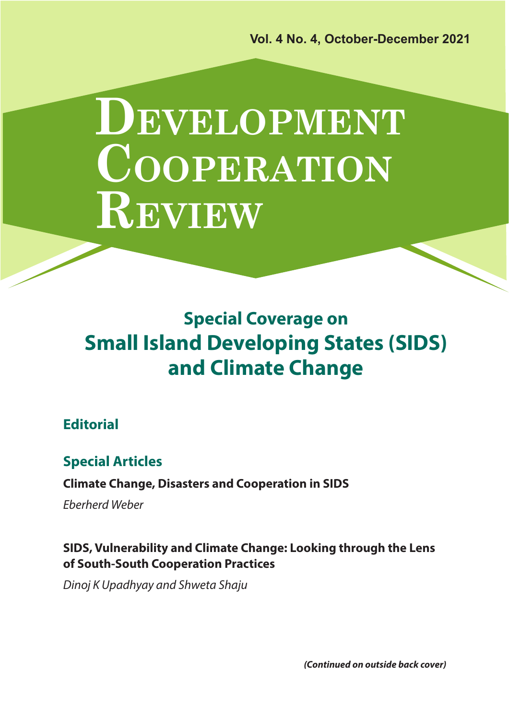**Vol. 4 No. 4, October-December 2021**

# **DEVELOPMENT COOPERATION REVIEW**

**Special Coverage on Small Island Developing States (SIDS) and Climate Change**

# **Editorial**

# **Special Articles**

### **Climate Change, Disasters and Cooperation in SIDS**

*Eberherd Weber*

# **SIDS, Vulnerability and Climate Change: Looking through the Lens of South-South Cooperation Practices**

*Dinoj K Upadhyay and Shweta Shaju*

*(Continued on outside back cover)*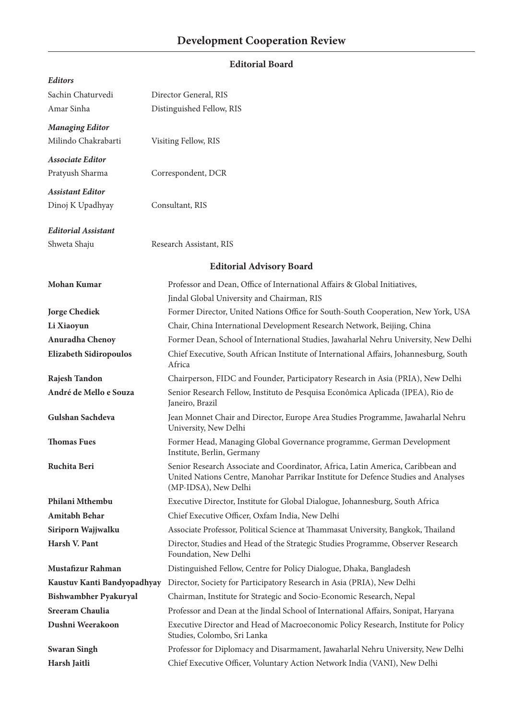#### **Editorial Board**

| <b>Editors</b>                |                                                                                                                                                                                               |
|-------------------------------|-----------------------------------------------------------------------------------------------------------------------------------------------------------------------------------------------|
| Sachin Chaturvedi             | Director General, RIS                                                                                                                                                                         |
| Amar Sinha                    | Distinguished Fellow, RIS                                                                                                                                                                     |
| <b>Managing Editor</b>        |                                                                                                                                                                                               |
| Milindo Chakrabarti           | Visiting Fellow, RIS                                                                                                                                                                          |
|                               |                                                                                                                                                                                               |
| <b>Associate Editor</b>       |                                                                                                                                                                                               |
| Pratyush Sharma               | Correspondent, DCR                                                                                                                                                                            |
| <b>Assistant Editor</b>       |                                                                                                                                                                                               |
| Dinoj K Upadhyay              | Consultant, RIS                                                                                                                                                                               |
| <b>Editorial Assistant</b>    |                                                                                                                                                                                               |
| Shweta Shaju                  | Research Assistant, RIS                                                                                                                                                                       |
|                               |                                                                                                                                                                                               |
|                               | <b>Editorial Advisory Board</b>                                                                                                                                                               |
| Mohan Kumar                   | Professor and Dean, Office of International Affairs & Global Initiatives,                                                                                                                     |
|                               | Jindal Global University and Chairman, RIS                                                                                                                                                    |
| <b>Jorge Chediek</b>          | Former Director, United Nations Office for South-South Cooperation, New York, USA                                                                                                             |
| Li Xiaoyun                    | Chair, China International Development Research Network, Beijing, China                                                                                                                       |
| Anuradha Chenoy               | Former Dean, School of International Studies, Jawaharlal Nehru University, New Delhi                                                                                                          |
| <b>Elizabeth Sidiropoulos</b> | Chief Executive, South African Institute of International Affairs, Johannesburg, South<br>Africa                                                                                              |
| Rajesh Tandon                 | Chairperson, FIDC and Founder, Participatory Research in Asia (PRIA), New Delhi                                                                                                               |
| André de Mello e Souza        | Senior Research Fellow, Instituto de Pesquisa Econômica Aplicada (IPEA), Rio de<br>Janeiro, Brazil                                                                                            |
| Gulshan Sachdeva              | Jean Monnet Chair and Director, Europe Area Studies Programme, Jawaharlal Nehru<br>University, New Delhi                                                                                      |
| <b>Thomas Fues</b>            | Former Head, Managing Global Governance programme, German Development<br>Institute, Berlin, Germany                                                                                           |
| Ruchita Beri                  | Senior Research Associate and Coordinator, Africa, Latin America, Caribbean and<br>United Nations Centre, Manohar Parrikar Institute for Defence Studies and Analyses<br>(MP-IDSA), New Delhi |
| Philani Mthembu               | Executive Director, Institute for Global Dialogue, Johannesburg, South Africa                                                                                                                 |
| Amitabh Behar                 | Chief Executive Officer, Oxfam India, New Delhi                                                                                                                                               |
| Siriporn Wajjwalku            | Associate Professor, Political Science at Thammasat University, Bangkok, Thailand                                                                                                             |
| Harsh V. Pant                 | Director, Studies and Head of the Strategic Studies Programme, Observer Research<br>Foundation, New Delhi                                                                                     |
| Mustafizur Rahman             | Distinguished Fellow, Centre for Policy Dialogue, Dhaka, Bangladesh                                                                                                                           |
| Kaustuv Kanti Bandyopadhyay   | Director, Society for Participatory Research in Asia (PRIA), New Delhi                                                                                                                        |
| Bishwambher Pyakuryal         | Chairman, Institute for Strategic and Socio-Economic Research, Nepal                                                                                                                          |
| Sreeram Chaulia               | Professor and Dean at the Jindal School of International Affairs, Sonipat, Haryana                                                                                                            |
| Dushni Weerakoon              | Executive Director and Head of Macroeconomic Policy Research, Institute for Policy<br>Studies, Colombo, Sri Lanka                                                                             |
| <b>Swaran Singh</b>           | Professor for Diplomacy and Disarmament, Jawaharlal Nehru University, New Delhi                                                                                                               |
| Harsh Jaitli                  | Chief Executive Officer, Voluntary Action Network India (VANI), New Delhi                                                                                                                     |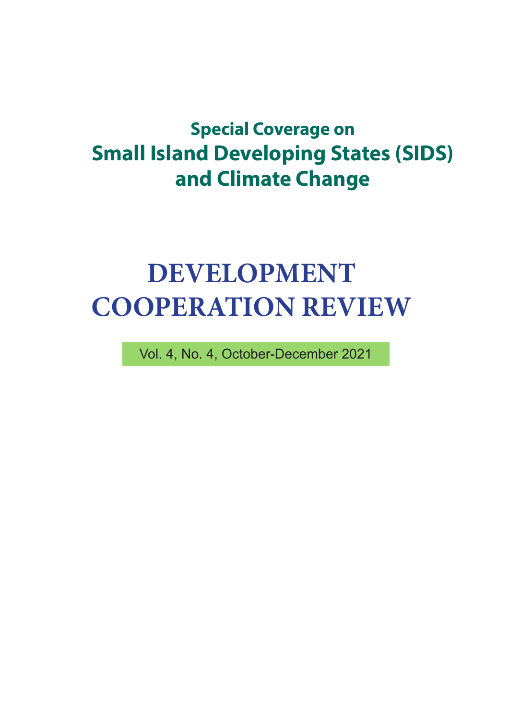# **Special Coverage on Small Island Developing States (SIDS) and Climate Change**

# **DEVELOPMENT COOPERATION REVIEW**

Vol. 4, No. 4, October-December 2021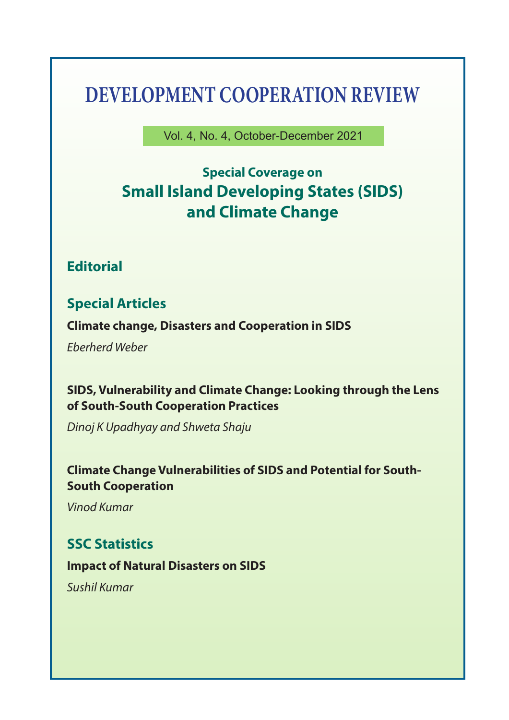# **DEVELOPMENT COOPERATION REVIEW**

Vol. 4, No. 4, October-December 2021

# **Special Coverage on Small Island Developing States (SIDS) and Climate Change**

# **Editorial**

# **Special Articles**

**Climate change, Disasters and Cooperation in SIDS**

*Eberherd Weber*

# **SIDS, Vulnerability and Climate Change: Looking through the Lens of South-South Cooperation Practices**

*Dinoj K Upadhyay and Shweta Shaju*

### **Climate Change Vulnerabilities of SIDS and Potential for South-South Cooperation**

*Vinod Kumar*

# **SSC Statistics**

#### **Impact of Natural Disasters on SIDS**

*Sushil Kumar*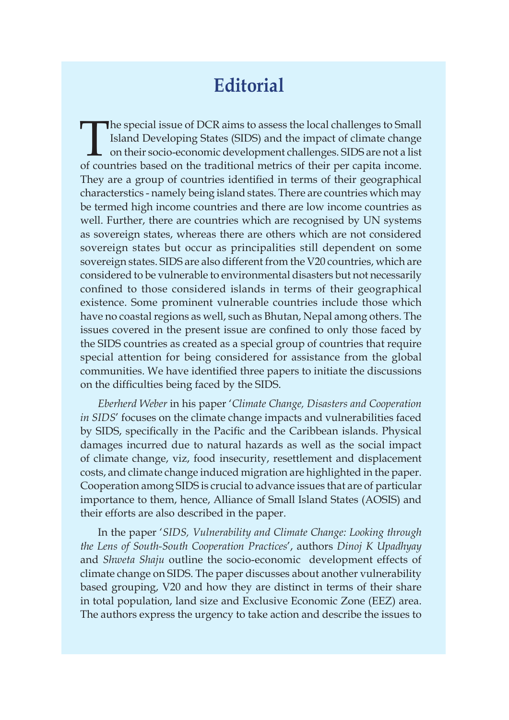# **Editorial**

The special issue of DCR aims to assess the local challenges to Small Island Developing States (SIDS) and the impact of climate change on their socio-economic development challenges. SIDS are not a list of countries based on the traditional metrics of their per capita income. They are a group of countries identified in terms of their geographical characterstics - namely being island states. There are countries which may be termed high income countries and there are low income countries as well. Further, there are countries which are recognised by UN systems as sovereign states, whereas there are others which are not considered sovereign states but occur as principalities still dependent on some sovereign states. SIDS are also different from the V20 countries, which are considered to be vulnerable to environmental disasters but not necessarily confined to those considered islands in terms of their geographical existence. Some prominent vulnerable countries include those which have no coastal regions as well, such as Bhutan, Nepal among others. The issues covered in the present issue are confined to only those faced by the SIDS countries as created as a special group of countries that require special attention for being considered for assistance from the global communities. We have identified three papers to initiate the discussions on the difficulties being faced by the SIDS.

*Eberherd Weber* in his paper '*Climate Change, Disasters and Cooperation in SIDS*' focuses on the climate change impacts and vulnerabilities faced by SIDS, specifically in the Pacific and the Caribbean islands. Physical damages incurred due to natural hazards as well as the social impact of climate change, viz, food insecurity, resettlement and displacement costs, and climate change induced migration are highlighted in the paper. Cooperation among SIDS is crucial to advance issues that are of particular importance to them, hence, Alliance of Small Island States (AOSIS) and their efforts are also described in the paper.

In the paper '*SIDS, Vulnerability and Climate Change: Looking through the Lens of South-South Cooperation Practices*', authors *Dinoj K Upadhyay*  and *Shweta Shaju* outline the socio-economic development effects of climate change on SIDS. The paper discusses about another vulnerability based grouping, V20 and how they are distinct in terms of their share in total population, land size and Exclusive Economic Zone (EEZ) area. The authors express the urgency to take action and describe the issues to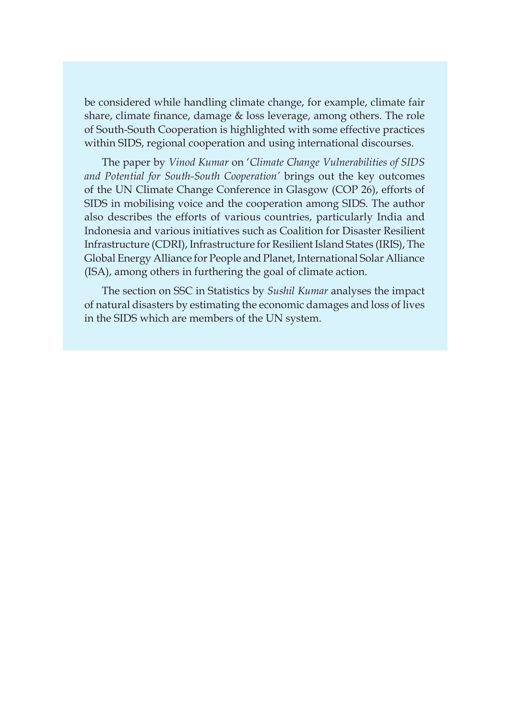be considered while handling climate change, for example, climate fair share, climate finance, damage  $&$  loss leverage, among others. The role of South-South Cooperation is highlighted with some effective practices within SIDS, regional cooperation and using international discourses.

The paper by *Vinod Kumar* on '*Climate Change Vulnerabilities of SIDS and Potential for South-South Cooperation'* brings out the key outcomes of the UN Climate Change Conference in Glasgow (COP 26), efforts of SIDS in mobilising voice and the cooperation among SIDS. The author also describes the efforts of various countries, particularly India and Indonesia and various initiatives such as Coalition for Disaster Resilient Infrastructure (CDRI), Infrastructure for Resilient Island States (IRIS), The Global Energy Alliance for People and Planet, International Solar Alliance (ISA), among others in furthering the goal of climate action.

The section on SSC in Statistics by *Sushil Kumar* analyses the impact of natural disasters by estimating the economic damages and loss of lives in the SIDS which are members of the UN system.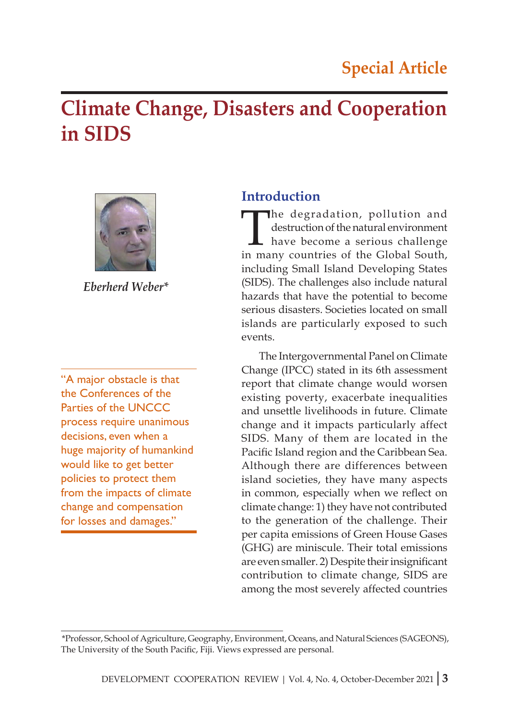# **Climate Change, Disasters and Cooperation in SIDS**



*Eberherd Weber\**

"A major obstacle is that the Conferences of the Parties of the UNCCC process require unanimous decisions, even when a huge majority of humankind would like to get better policies to protect them from the impacts of climate change and compensation for losses and damages."

# **Introduction**

The degradation, pollution and<br>destruction of the natural environment<br>have become a serious challenge<br>in many countries of the Global South destruction of the natural environment have become a serious challenge in many countries of the Global South, including Small Island Developing States (SIDS). The challenges also include natural hazards that have the potential to become serious disasters. Societies located on small islands are particularly exposed to such events.

The Intergovernmental Panel on Climate Change (IPCC) stated in its 6th assessment report that climate change would worsen existing poverty, exacerbate inequalities and unsettle livelihoods in future. Climate change and it impacts particularly affect SIDS. Many of them are located in the Pacific Island region and the Caribbean Sea. Although there are differences between island societies, they have many aspects in common, especially when we reflect on climate change: 1) they have not contributed to the generation of the challenge. Their per capita emissions of Green House Gases (GHG) are miniscule. Their total emissions are even smaller. 2) Despite their insignificant contribution to climate change, SIDS are among the most severely affected countries

<sup>\*</sup>Professor, School of Agriculture, Geography, Environment, Oceans, and Natural Sciences (SAGEONS), The University of the South Pacific, Fiji. Views expressed are personal.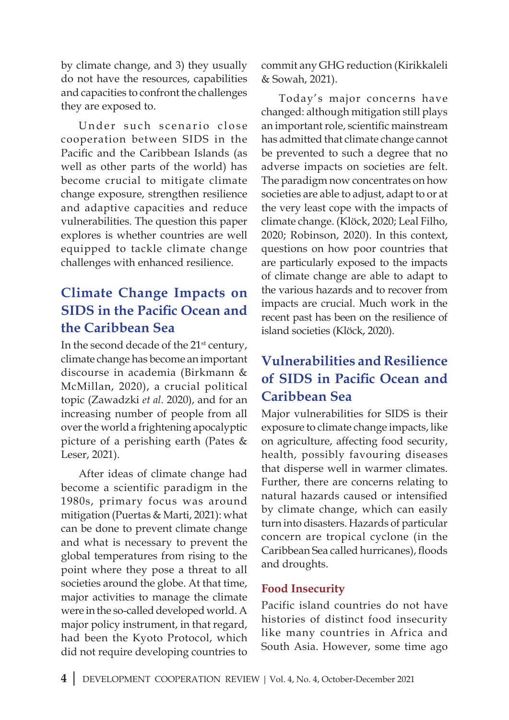by climate change, and 3) they usually do not have the resources, capabilities and capacities to confront the challenges they are exposed to.

Under such scenario close cooperation between SIDS in the Pacific and the Caribbean Islands (as well as other parts of the world) has become crucial to mitigate climate change exposure, strengthen resilience and adaptive capacities and reduce vulnerabilities. The question this paper explores is whether countries are well equipped to tackle climate change challenges with enhanced resilience.

# **Climate Change Impacts on SIDS in the Pacific Ocean and the Caribbean Sea**

In the second decade of the 21<sup>st</sup> century, climate change has become an important discourse in academia (Birkmann & McMillan, 2020), a crucial political topic (Zawadzki *et al*. 2020), and for an increasing number of people from all over the world a frightening apocalyptic picture of a perishing earth (Pates & Leser, 2021).

After ideas of climate change had become a scientific paradigm in the 1980s, primary focus was around mitigation (Puertas & Marti, 2021): what can be done to prevent climate change and what is necessary to prevent the global temperatures from rising to the point where they pose a threat to all societies around the globe. At that time, major activities to manage the climate were in the so-called developed world. A major policy instrument, in that regard, had been the Kyoto Protocol, which did not require developing countries to

commit any GHG reduction (Kirikkaleli & Sowah, 2021).

Today's major concerns have changed: although mitigation still plays an important role, scientific mainstream has admitted that climate change cannot be prevented to such a degree that no adverse impacts on societies are felt. The paradigm now concentrates on how societies are able to adjust, adapt to or at the very least cope with the impacts of climate change. (Klöck, 2020; Leal Filho, 2020; Robinson, 2020). In this context, questions on how poor countries that are particularly exposed to the impacts of climate change are able to adapt to the various hazards and to recover from impacts are crucial. Much work in the recent past has been on the resilience of island societies (Klöck, 2020).

# **Vulnerabilities and Resilience of SIDS in Pacific Ocean and Caribbean Sea**

Major vulnerabilities for SIDS is their exposure to climate change impacts, like on agriculture, affecting food security, health, possibly favouring diseases that disperse well in warmer climates. Further, there are concerns relating to natural hazards caused or intensified by climate change, which can easily turn into disasters. Hazards of particular concern are tropical cyclone (in the Caribbean Sea called hurricanes), floods and droughts.

#### **Food Insecurity**

Pacific island countries do not have histories of distinct food insecurity like many countries in Africa and South Asia. However, some time ago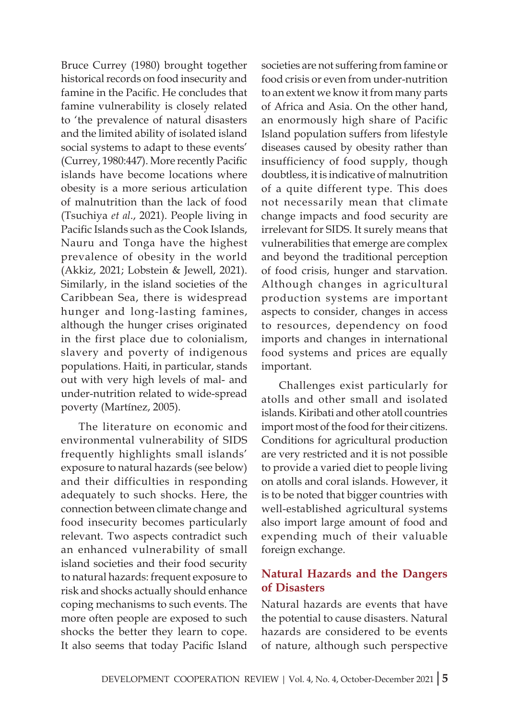Bruce Currey (1980) brought together historical records on food insecurity and famine in the Pacific. He concludes that famine vulnerability is closely related to 'the prevalence of natural disasters and the limited ability of isolated island social systems to adapt to these events' (Currey, 1980:447). More recently Pacific islands have become locations where obesity is a more serious articulation of malnutrition than the lack of food (Tsuchiya *et al*., 2021). People living in Pacific Islands such as the Cook Islands, Nauru and Tonga have the highest prevalence of obesity in the world (Akkiz, 2021; Lobstein & Jewell, 2021). Similarly, in the island societies of the Caribbean Sea, there is widespread hunger and long-lasting famines, although the hunger crises originated in the first place due to colonialism, slavery and poverty of indigenous populations. Haiti, in particular, stands out with very high levels of mal- and under-nutrition related to wide-spread poverty (Martínez, 2005).

The literature on economic and environmental vulnerability of SIDS frequently highlights small islands' exposure to natural hazards (see below) and their difficulties in responding adequately to such shocks. Here, the connection between climate change and food insecurity becomes particularly relevant. Two aspects contradict such an enhanced vulnerability of small island societies and their food security to natural hazards: frequent exposure to risk and shocks actually should enhance coping mechanisms to such events. The more often people are exposed to such shocks the better they learn to cope. It also seems that today Pacific Island

societies are not suffering from famine or food crisis or even from under-nutrition to an extent we know it from many parts of Africa and Asia. On the other hand, an enormously high share of Pacific Island population suffers from lifestyle diseases caused by obesity rather than insufficiency of food supply, though doubtless, it is indicative of malnutrition of a quite different type. This does not necessarily mean that climate change impacts and food security are irrelevant for SIDS. It surely means that vulnerabilities that emerge are complex and beyond the traditional perception of food crisis, hunger and starvation. Although changes in agricultural production systems are important aspects to consider, changes in access to resources, dependency on food imports and changes in international food systems and prices are equally important.

Challenges exist particularly for atolls and other small and isolated islands. Kiribati and other atoll countries import most of the food for their citizens. Conditions for agricultural production are very restricted and it is not possible to provide a varied diet to people living on atolls and coral islands. However, it is to be noted that bigger countries with well-established agricultural systems also import large amount of food and expending much of their valuable foreign exchange.

#### **Natural Hazards and the Dangers of Disasters**

Natural hazards are events that have the potential to cause disasters. Natural hazards are considered to be events of nature, although such perspective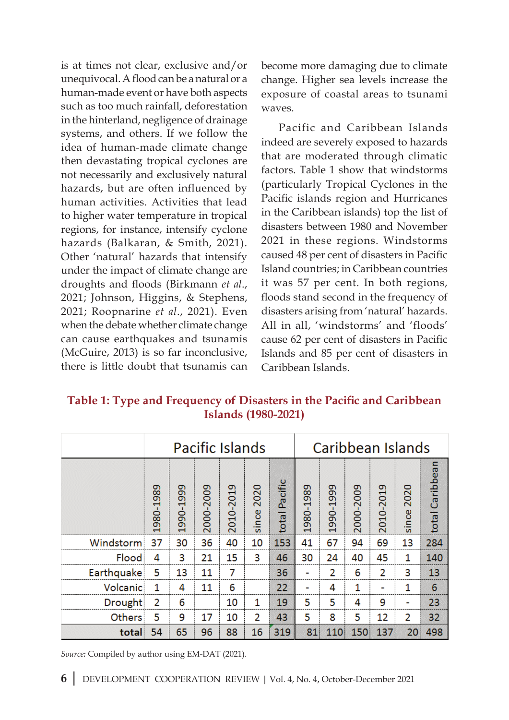is at times not clear, exclusive and/or unequivocal. A flood can be a natural or a human-made event or have both aspects such as too much rainfall, deforestation in the hinterland, negligence of drainage systems, and others. If we follow the idea of human-made climate change then devastating tropical cyclones are not necessarily and exclusively natural hazards, but are often influenced by human activities. Activities that lead to higher water temperature in tropical regions, for instance, intensify cyclone hazards (Balkaran, & Smith, 2021). Other 'natural' hazards that intensify under the impact of climate change are droughts and floods (Birkmann *et al*., 2021; Johnson, Higgins, & Stephens, 2021; Roopnarine *et al*., 2021). Even when the debate whether climate change can cause earthquakes and tsunamis (McGuire, 2013) is so far inconclusive, there is little doubt that tsunamis can

become more damaging due to climate change. Higher sea levels increase the exposure of coastal areas to tsunami waves.

Pacific and Caribbean Islands indeed are severely exposed to hazards that are moderated through climatic factors. Table 1 show that windstorms (particularly Tropical Cyclones in the Pacific islands region and Hurricanes in the Caribbean islands) top the list of disasters between 1980 and November 2021 in these regions. Windstorms caused 48 per cent of disasters in Pacific Island countries; in Caribbean countries it was 57 per cent. In both regions, floods stand second in the frequency of disasters arising from 'natural' hazards. All in all, 'windstorms' and 'floods' cause 62 per cent of disasters in Pacific Islands and 85 per cent of disasters in Caribbean Islands.

**Table 1: Type and Frequency of Disasters in the Pacific and Caribbean Islands (1980-2021)**

|               |           |               |           | <b>Pacific Islands</b> |               |               | Caribbean Islands |           |           |           |               |                 |  |  |
|---------------|-----------|---------------|-----------|------------------------|---------------|---------------|-------------------|-----------|-----------|-----------|---------------|-----------------|--|--|
|               | 1980-1989 | 1999<br>1990- | 2000-2009 | 2010-2019              | 2020<br>since | total Pacific | 1980-1989         | 1990-1999 | 2000-2009 | 2010-2019 | 2020<br>since | total Caribbean |  |  |
| Windstorm     | 37        | 30            | 36        | 40                     | 10            | 153           | 41                | 67        | 94        | 69        | 13            | 284             |  |  |
| Flood         | 4         | 3             | 21        | 15                     | 3             | 46            | 30                | 24        | 40        | 45        | 1             | 140             |  |  |
| Earthquake    | 5         | 13            | 11        | 7                      |               | 36            |                   | 2         | 6         | 2         | 3             | 13              |  |  |
| Volcanic      | 1         | 4             | 11        | 6                      |               | 22            |                   | 4         | 1         |           | 1             | $6\phantom{1}6$ |  |  |
| Drought       | 2         | 6             |           | 10                     | 1             | 19            | 5                 | 5         | 4         | 9         |               | 23              |  |  |
| <b>Others</b> | 5         | 9             | 17        | 10                     | 2             | 43            | 5                 | 8         | 5         | 12        | 2             | 32              |  |  |
| total         | 54        | 65            | 96        | 88                     | 16            | 319           | 81                | 110       | 150       | 137       | 20            | 498             |  |  |

*Source:* Compiled by author using EM-DAT (2021).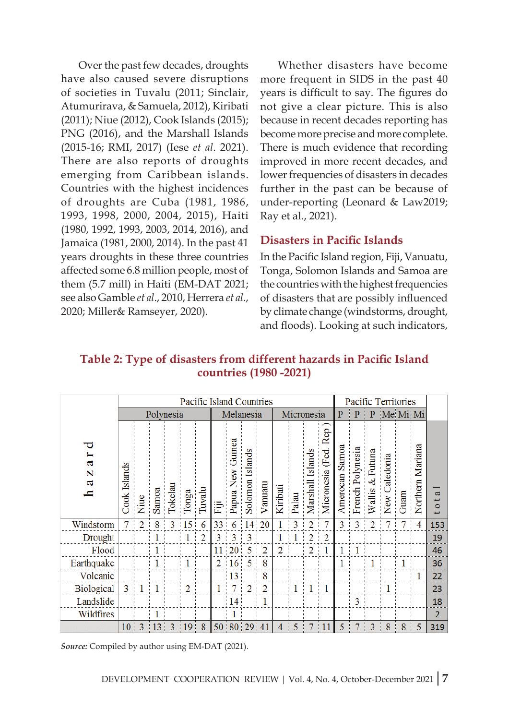Over the past few decades, droughts have also caused severe disruptions of societies in Tuvalu (2011; Sinclair, Atumurirava, & Samuela, 2012), Kiribati (2011); Niue (2012), Cook Islands (2015); PNG (2016), and the Marshall Islands (2015-16; RMI, 2017) (Iese *et al*. 2021). There are also reports of droughts emerging from Caribbean islands. Countries with the highest incidences of droughts are Cuba (1981, 1986, 1993, 1998, 2000, 2004, 2015), Haiti (1980, 1992, 1993, 2003, 2014, 2016), and Jamaica (1981, 2000, 2014). In the past 41 years droughts in these three countries affected some 6.8 million people, most of them (5.7 mill) in Haiti (EM-DAT 2021; see also Gamble *et al*., 2010, Herrera *et al*., 2020; Miller& Ramseyer, 2020).

Whether disasters have become more frequent in SIDS in the past 40 years is difficult to say. The figures do not give a clear picture. This is also because in recent decades reporting has become more precise and more complete. There is much evidence that recording improved in more recent decades, and lower frequencies of disasters in decades further in the past can be because of under-reporting (Leonard & Law2019; Ray et al., 2021).

#### **Disasters in Pacific Islands**

In the Pacific Island region, Fiji, Vanuatu, Tonga, Solomon Islands and Samoa are the countries with the highest frequencies of disasters that are possibly influenced by climate change (windstorms, drought, and floods). Looking at such indicators,

#### **Table 2: Type of disasters from different hazards in Pacific Island countries (1980 -2021)**

|                                  |                 |                |                  |   |                                                |                | Pacific Island Countries |                         |                                 |                |                |       |                          |                               | Pacific Territories |                         |                      |                 |                |                  |                     |  |  |
|----------------------------------|-----------------|----------------|------------------|---|------------------------------------------------|----------------|--------------------------|-------------------------|---------------------------------|----------------|----------------|-------|--------------------------|-------------------------------|---------------------|-------------------------|----------------------|-----------------|----------------|------------------|---------------------|--|--|
| Polynesia                        |                 |                |                  |   |                                                |                |                          | Melanesia               |                                 |                |                |       | Micronesia               |                               | $\overline{P}$      | $\mathbf{P}$            | P                    | Me Mi Mi        |                |                  |                     |  |  |
| ದ<br>N<br>$\mathbf{\alpha}$<br>c | Islands<br>Cook | Niue           | Samoa<br>Tokelau |   | Tonga                                          | Tuvalu         | 嵩                        | Guinea<br>š<br>Papua Ne | Islands<br>Solomon <sub>I</sub> | Vanuatu        | Kiribati       | Palau | Marshall Islands         | e.<br>∝<br>Fed.<br>Micronesia | Amerocan Samoa      | French Polynesia        | $&$ Futuna<br>Wallis | aledonia<br>New | Guam           | Northern Mariana | $\alpha$<br>$\circ$ |  |  |
| Windstorm                        |                 | $\overline{2}$ | 8                | 3 | $\overline{15}$                                | 6              | 33                       | 6                       | 14 20                           |                |                | 3     | 2                        |                               | 3                   | 3                       | $\overline{2}$       |                 | $\blacksquare$ | 4                | 153                 |  |  |
| Drought                          |                 |                |                  |   |                                                | $\overline{2}$ | 3                        | 3                       | 3                               |                |                |       | $\overline{\mathcal{L}}$ | $\overline{2}$                |                     |                         |                      |                 |                |                  | 19                  |  |  |
| Flood                            |                 |                |                  |   |                                                |                |                          | 11 20                   | 5                               | $\overline{2}$ | $\overline{2}$ |       | 2                        | 1                             |                     |                         |                      |                 |                |                  | 46                  |  |  |
| Earthquake                       |                 |                |                  |   |                                                |                |                          | $2 \t16 \t5$            |                                 | 8              |                |       |                          |                               |                     |                         |                      |                 |                |                  | 36                  |  |  |
| Volcanic                         |                 |                |                  |   |                                                |                |                          | 13                      |                                 | 8              |                |       |                          |                               |                     |                         |                      |                 |                | 1                | 22                  |  |  |
| Biological                       | 3 <sub>1</sub>  |                |                  |   | 2                                              |                |                          | 7                       | $\overline{2}$                  | $\overline{2}$ |                | 1     | 1                        | 1                             |                     |                         |                      |                 |                |                  | 23                  |  |  |
| Landslide                        |                 |                |                  |   |                                                |                |                          | $14^{\circ}$            |                                 |                |                |       |                          |                               |                     | 3                       |                      |                 |                |                  | 18                  |  |  |
| Wildfires                        |                 |                |                  |   |                                                |                |                          |                         |                                 |                |                |       |                          |                               |                     |                         |                      |                 |                |                  | $\overline{2}$      |  |  |
|                                  |                 |                |                  |   | $10 \quad 3 \quad 13 \quad 3 \quad 19 \quad 8$ |                |                          | 50 80 29 41             |                                 |                |                | 4:5   |                          | 7 11                          | 5:                  | $\frac{1}{2}$<br>$\tau$ | 3 <sup>1</sup>       | 8               |                | $8 \mid 5$       | 319                 |  |  |

*Source:* Compiled by author using EM-DAT (2021).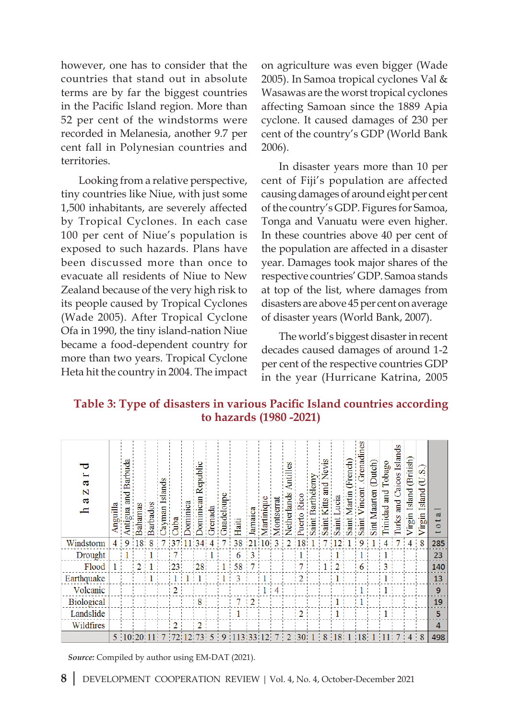however, one has to consider that the countries that stand out in absolute terms are by far the biggest countries in the Pacific Island region. More than 52 per cent of the windstorms were recorded in Melanesia, another 9.7 per cent fall in Polynesian countries and territories.

Looking from a relative perspective, tiny countries like Niue, with just some 1,500 inhabitants, are severely affected by Tropical Cyclones. In each case 100 per cent of Niue's population is exposed to such hazards. Plans have been discussed more than once to evacuate all residents of Niue to New Zealand because of the very high risk to its people caused by Tropical Cyclones (Wade 2005). After Tropical Cyclone Ofa in 1990, the tiny island-nation Niue became a food-dependent country for more than two years. Tropical Cyclone Heta hit the country in 2004. The impact on agriculture was even bigger (Wade 2005). In Samoa tropical cyclones Val & Wasawas are the worst tropical cyclones affecting Samoan since the 1889 Apia cyclone. It caused damages of 230 per cent of the country's GDP (World Bank 2006).

In disaster years more than 10 per cent of Fiji's population are affected causing damages of around eight per cent of the country's GDP. Figures for Samoa, Tonga and Vanuatu were even higher. In these countries above 40 per cent of the population are affected in a disaster year. Damages took major shares of the respective countries' GDP. Samoa stands at top of the list, where damages from disasters are above 45 per cent on average of disaster years (World Bank, 2007).

The world's biggest disaster in recent decades caused damages of around 1-2 per cent of the respective countries GDP in the year (Hurricane Katrina, 2005

#### **Table 3: Type of disasters in various Pacific Island countries according to hazards (1980 -2021)**

| ಡ<br>N<br>ದ<br>c  | guilla    |    | ama<br>3<br>N | pagos<br>Bart | Ķε | aqn                                           | 5 | 5               | Grenad | Guadelou | Haiti         | Jamai | Martin | $\overline{\text{M}}$ ont | အ<br>हैं |  | Saint | $\sin$         | a<br>Sai | $_{\text{mes}}$<br>Frenad<br>ncen<br>Saint | (Dutch)<br>Sint Maarten | Tobago<br>and<br>Trinidad | Islands<br>Caicos<br>$\overline{a}$<br>Turks | Island (British)<br>Virgin | Ø<br>Þ<br>Island<br>Virgin | $\mathbf{d}$<br>$\circ$ |
|-------------------|-----------|----|---------------|---------------|----|-----------------------------------------------|---|-----------------|--------|----------|---------------|-------|--------|---------------------------|----------|--|-------|----------------|----------|--------------------------------------------|-------------------------|---------------------------|----------------------------------------------|----------------------------|----------------------------|-------------------------|
| Windstorm         | $4 \cdot$ | 9: | 8:            | 8             |    |                                               |   |                 |        |          | 38            |       | 21 10  | 3                         | 2        |  |       |                |          | 9                                          |                         |                           |                                              |                            | $\frac{1}{8}$              | 285                     |
| Drought           |           |    |               |               |    |                                               |   |                 |        |          |               | 3     |        |                           |          |  |       |                |          |                                            |                         |                           |                                              |                            |                            | 23                      |
| Flood             |           |    | 2             |               |    | 23                                            |   | 28 <sub>1</sub> |        |          | 58            |       |        |                           |          |  |       | $\overline{2}$ |          | 6                                          |                         | 3                         |                                              |                            |                            | 140                     |
| Earthquake        |           |    |               |               |    |                                               |   |                 |        |          |               |       |        |                           |          |  |       |                |          |                                            |                         |                           |                                              |                            |                            | 13                      |
| Volcanic          |           |    |               |               |    |                                               |   |                 |        |          |               |       |        |                           |          |  |       |                |          |                                            |                         |                           |                                              |                            |                            | 9                       |
| <b>Biological</b> |           |    |               |               |    |                                               |   |                 |        |          |               | 2     |        |                           |          |  |       |                |          |                                            |                         |                           |                                              |                            |                            | 19                      |
| Landslide         |           |    |               |               |    |                                               |   |                 |        |          |               |       |        |                           |          |  |       |                |          |                                            |                         |                           |                                              |                            |                            | 5.                      |
| Wildfires         |           |    |               |               |    |                                               |   |                 |        |          |               |       |        |                           |          |  |       |                |          |                                            |                         |                           |                                              |                            |                            | 4                       |
|                   |           |    |               |               |    | $5   10   20   11   7   72   12   73   5   9$ |   |                 |        |          | 113 33 12 7 2 |       |        |                           |          |  |       | 30 1 8 18      |          | 1 18 1                                     |                         | 11                        |                                              | $4 \quad 8$                |                            | 498                     |

*Source:* Compiled by author using EM-DAT (2021).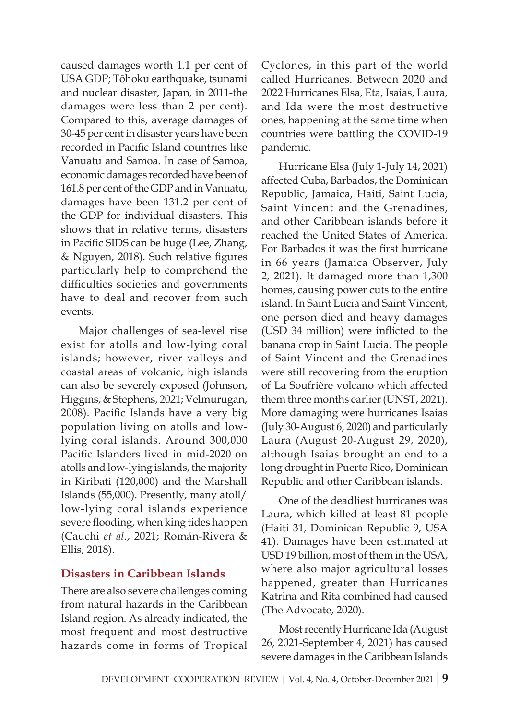caused damages worth 1.1 per cent of USA GDP; Tōhoku earthquake, tsunami and nuclear disaster, Japan, in 2011-the damages were less than 2 per cent). Compared to this, average damages of 30-45 per cent in disaster years have been recorded in Pacific Island countries like Vanuatu and Samoa. In case of Samoa, economic damages recorded have been of 161.8 per cent of the GDP and in Vanuatu, damages have been 131.2 per cent of the GDP for individual disasters. This shows that in relative terms, disasters in Pacific SIDS can be huge (Lee, Zhang, & Nguyen, 2018). Such relative figures particularly help to comprehend the difficulties societies and governments have to deal and recover from such events.

Major challenges of sea-level rise exist for atolls and low-lying coral islands; however, river valleys and coastal areas of volcanic, high islands can also be severely exposed (Johnson, Higgins, & Stephens, 2021; Velmurugan, 2008). Pacific Islands have a very big population living on atolls and lowlying coral islands. Around 300,000 Pacific Islanders lived in mid-2020 on atolls and low-lying islands, the majority in Kiribati (120,000) and the Marshall Islands (55,000). Presently, many atoll/ low-lying coral islands experience severe flooding, when king tides happen (Cauchi *et al*., 2021; Román-Rivera & Ellis, 2018).

#### **Disasters in Caribbean Islands**

There are also severe challenges coming from natural hazards in the Caribbean Island region. As already indicated, the most frequent and most destructive hazards come in forms of Tropical Cyclones, in this part of the world called Hurricanes. Between 2020 and 2022 Hurricanes Elsa, Eta, Isaias, Laura, and Ida were the most destructive ones, happening at the same time when countries were battling the COVID-19 pandemic.

Hurricane Elsa (July 1-July 14, 2021) affected Cuba, Barbados, the Dominican Republic, Jamaica, Haiti, Saint Lucia, Saint Vincent and the Grenadines, and other Caribbean islands before it reached the United States of America. For Barbados it was the first hurricane in 66 years (Jamaica Observer, July 2, 2021). It damaged more than 1,300 homes, causing power cuts to the entire island. In Saint Lucia and Saint Vincent, one person died and heavy damages (USD 34 million) were inflicted to the banana crop in Saint Lucia. The people of Saint Vincent and the Grenadines were still recovering from the eruption of La Soufrière volcano which affected them three months earlier (UNST, 2021). More damaging were hurricanes Isaias (July 30-August 6, 2020) and particularly Laura (August 20-August 29, 2020), although Isaias brought an end to a long drought in Puerto Rico, Dominican Republic and other Caribbean islands.

One of the deadliest hurricanes was Laura, which killed at least 81 people (Haiti 31, Dominican Republic 9, USA 41). Damages have been estimated at USD 19 billion, most of them in the USA, where also major agricultural losses happened, greater than Hurricanes Katrina and Rita combined had caused (The Advocate, 2020).

Most recently Hurricane Ida (August 26, 2021-September 4, 2021) has caused severe damages in the Caribbean Islands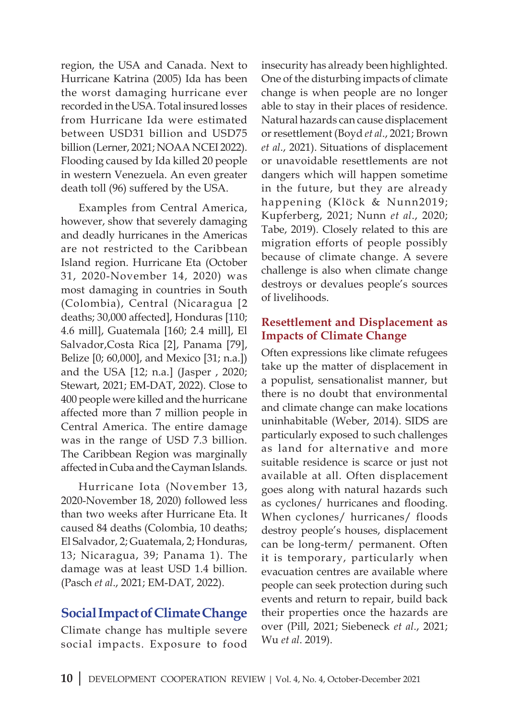region, the USA and Canada. Next to Hurricane Katrina (2005) Ida has been the worst damaging hurricane ever recorded in the USA. Total insured losses from Hurricane Ida were estimated between USD31 billion and USD75 billion (Lerner, 2021; NOAA NCEI 2022). Flooding caused by Ida killed 20 people in western Venezuela. An even greater death toll (96) suffered by the USA.

Examples from Central America, however, show that severely damaging and deadly hurricanes in the Americas are not restricted to the Caribbean Island region. Hurricane Eta (October 31, 2020-November 14, 2020) was most damaging in countries in South (Colombia), Central (Nicaragua [2 deaths; 30,000 affected], Honduras [110; 4.6 mill], Guatemala [160; 2.4 mill], El Salvador,Costa Rica [2], Panama [79], Belize [0; 60,000], and Mexico [31; n.a.]) and the USA [12; n.a.] (Jasper , 2020; Stewart, 2021; EM-DAT, 2022). Close to 400 people were killed and the hurricane affected more than 7 million people in Central America. The entire damage was in the range of USD 7.3 billion. The Caribbean Region was marginally affected in Cuba and the Cayman Islands.

Hurricane Iota (November 13, 2020-November 18, 2020) followed less than two weeks after Hurricane Eta. It caused 84 deaths (Colombia, 10 deaths; El Salvador, 2; Guatemala, 2; Honduras, 13; Nicaragua, 39; Panama 1). The damage was at least USD 1.4 billion. (Pasch *et al*., 2021; EM-DAT, 2022).

# **Social Impact of Climate Change**

Climate change has multiple severe social impacts. Exposure to food

insecurity has already been highlighted. One of the disturbing impacts of climate change is when people are no longer able to stay in their places of residence. Natural hazards can cause displacement or resettlement (Boyd *et al*., 2021; Brown *et al*., 2021). Situations of displacement or unavoidable resettlements are not dangers which will happen sometime in the future, but they are already happening (Klöck & Nunn2019; Kupferberg, 2021; Nunn *et al*., 2020; Tabe, 2019). Closely related to this are migration efforts of people possibly because of climate change. A severe challenge is also when climate change destroys or devalues people's sources of livelihoods.

#### **Resettlement and Displacement as Impacts of Climate Change**

Often expressions like climate refugees take up the matter of displacement in a populist, sensationalist manner, but there is no doubt that environmental and climate change can make locations uninhabitable (Weber, 2014). SIDS are particularly exposed to such challenges as land for alternative and more suitable residence is scarce or just not available at all. Often displacement goes along with natural hazards such as cyclones/ hurricanes and flooding. When cyclones/ hurricanes/ floods destroy people's houses, displacement can be long-term/ permanent. Often it is temporary, particularly when evacuation centres are available where people can seek protection during such events and return to repair, build back their properties once the hazards are over (Pill, 2021; Siebeneck *et al*., 2021; Wu *et al*. 2019).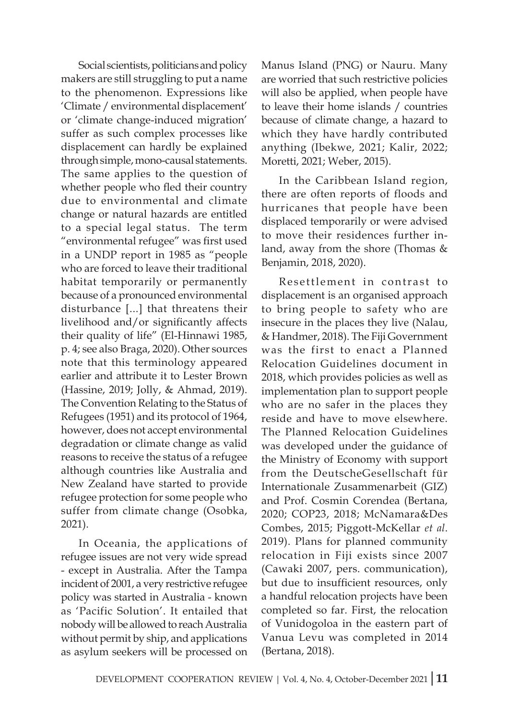Social scientists, politicians and policy makers are still struggling to put a name to the phenomenon. Expressions like 'Climate / environmental displacement' or 'climate change-induced migration' suffer as such complex processes like displacement can hardly be explained through simple, mono-causal statements. The same applies to the question of whether people who fled their country due to environmental and climate change or natural hazards are entitled to a special legal status. The term "environmental refugee" was first used in a UNDP report in 1985 as "people who are forced to leave their traditional habitat temporarily or permanently because of a pronounced environmental disturbance [...] that threatens their livelihood and/or significantly affects their quality of life" (El-Hinnawi 1985, p. 4; see also Braga, 2020). Other sources note that this terminology appeared earlier and attribute it to Lester Brown (Hassine, 2019; Jolly, & Ahmad, 2019). The Convention Relating to the Status of Refugees (1951) and its protocol of 1964, however, does not accept environmental degradation or climate change as valid reasons to receive the status of a refugee although countries like Australia and New Zealand have started to provide refugee protection for some people who suffer from climate change (Osobka, 2021).

In Oceania, the applications of refugee issues are not very wide spread - except in Australia. After the Tampa incident of 2001, a very restrictive refugee policy was started in Australia - known as 'Pacific Solution'. It entailed that nobody will be allowed to reach Australia without permit by ship, and applications as asylum seekers will be processed on

Manus Island (PNG) or Nauru. Many are worried that such restrictive policies will also be applied, when people have to leave their home islands / countries because of climate change, a hazard to which they have hardly contributed anything (Ibekwe, 2021; Kalir, 2022; Moretti, 2021; Weber, 2015).

In the Caribbean Island region, there are often reports of floods and hurricanes that people have been displaced temporarily or were advised to move their residences further inland, away from the shore (Thomas & Benjamin, 2018, 2020).

Resettlement in contrast to displacement is an organised approach to bring people to safety who are insecure in the places they live (Nalau, & Handmer, 2018). The Fiji Government was the first to enact a Planned Relocation Guidelines document in 2018, which provides policies as well as implementation plan to support people who are no safer in the places they reside and have to move elsewhere. The Planned Relocation Guidelines was developed under the guidance of the Ministry of Economy with support from the DeutscheGesellschaft für Internationale Zusammenarbeit (GIZ) and Prof. Cosmin Corendea (Bertana, 2020; COP23, 2018; McNamara&Des Combes, 2015; Piggott-McKellar *et al*. 2019). Plans for planned community relocation in Fiji exists since 2007 (Cawaki 2007, pers. communication), but due to insufficient resources, only a handful relocation projects have been completed so far. First, the relocation of Vunidogoloa in the eastern part of Vanua Levu was completed in 2014 (Bertana, 2018).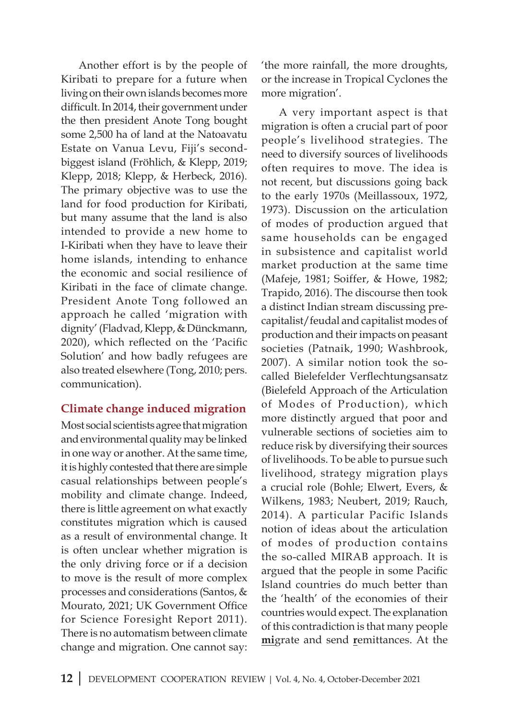Another effort is by the people of Kiribati to prepare for a future when living on their own islands becomes more difficult. In 2014, their government under the then president Anote Tong bought some 2,500 ha of land at the Natoavatu Estate on Vanua Levu, Fiji's secondbiggest island (Fröhlich, & Klepp, 2019; Klepp, 2018; Klepp, & Herbeck, 2016). The primary objective was to use the land for food production for Kiribati, but many assume that the land is also intended to provide a new home to I-Kiribati when they have to leave their home islands, intending to enhance the economic and social resilience of Kiribati in the face of climate change. President Anote Tong followed an approach he called 'migration with dignity' (Fladvad, Klepp, & Dünckmann, 2020), which reflected on the 'Pacific Solution' and how badly refugees are also treated elsewhere (Tong, 2010; pers. communication).

#### **Climate change induced migration**

Most social scientists agree that migration and environmental quality may be linked in one way or another. At the same time, it is highly contested that there are simple casual relationships between people's mobility and climate change. Indeed, there is little agreement on what exactly constitutes migration which is caused as a result of environmental change. It is often unclear whether migration is the only driving force or if a decision to move is the result of more complex processes and considerations (Santos, & Mourato, 2021; UK Government Office for Science Foresight Report 2011). There is no automatism between climate change and migration. One cannot say:

'the more rainfall, the more droughts, or the increase in Tropical Cyclones the more migration'.

A very important aspect is that migration is often a crucial part of poor people's livelihood strategies. The need to diversify sources of livelihoods often requires to move. The idea is not recent, but discussions going back to the early 1970s (Meillassoux, 1972, 1973). Discussion on the articulation of modes of production argued that same households can be engaged in subsistence and capitalist world market production at the same time (Mafeje, 1981; Soiffer, & Howe, 1982; Trapido, 2016). The discourse then took a distinct Indian stream discussing precapitalist/feudal and capitalist modes of production and their impacts on peasant societies (Patnaik, 1990; Washbrook, 2007). A similar notion took the socalled Bielefelder Verflechtungsansatz (Bielefeld Approach of the Articulation of Modes of Production), which more distinctly argued that poor and vulnerable sections of societies aim to reduce risk by diversifying their sources of livelihoods. To be able to pursue such livelihood, strategy migration plays a crucial role (Bohle; Elwert, Evers, & Wilkens, 1983; Neubert, 2019; Rauch, 2014). A particular Pacific Islands notion of ideas about the articulation of modes of production contains the so-called MIRAB approach. It is argued that the people in some Pacific Island countries do much better than the 'health' of the economies of their countries would expect. The explanation of this contradiction is that many people **mi**grate and send **r**emittances. At the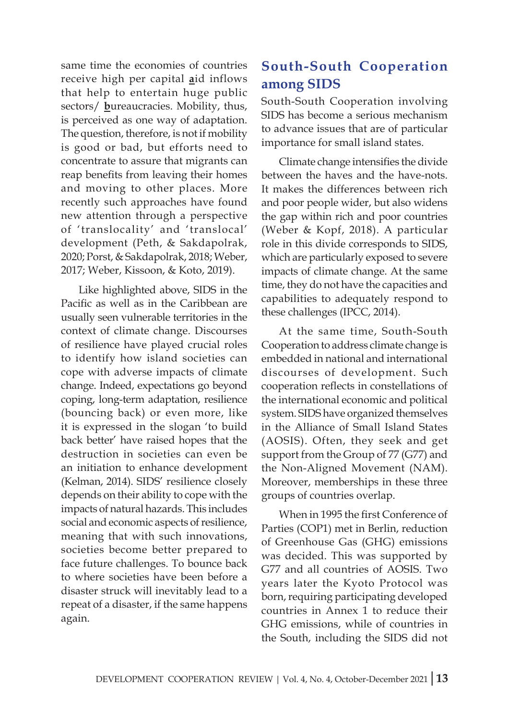same time the economies of countries receive high per capital **a**id inflows that help to entertain huge public sectors/ **b**ureaucracies. Mobility, thus, is perceived as one way of adaptation. The question, therefore, is not if mobility is good or bad, but efforts need to concentrate to assure that migrants can reap benefits from leaving their homes and moving to other places. More recently such approaches have found new attention through a perspective of 'translocality' and 'translocal' development (Peth, & Sakdapolrak, 2020; Porst, & Sakdapolrak, 2018; Weber, 2017; Weber, Kissoon, & Koto, 2019).

Like highlighted above, SIDS in the Pacific as well as in the Caribbean are usually seen vulnerable territories in the context of climate change. Discourses of resilience have played crucial roles to identify how island societies can cope with adverse impacts of climate change. Indeed, expectations go beyond coping, long-term adaptation, resilience (bouncing back) or even more, like it is expressed in the slogan 'to build back better' have raised hopes that the destruction in societies can even be an initiation to enhance development (Kelman, 2014). SIDS' resilience closely depends on their ability to cope with the impacts of natural hazards. This includes social and economic aspects of resilience, meaning that with such innovations, societies become better prepared to face future challenges. To bounce back to where societies have been before a disaster struck will inevitably lead to a repeat of a disaster, if the same happens again.

# **South-South Cooperation among SIDS**

South-South Cooperation involving SIDS has become a serious mechanism to advance issues that are of particular importance for small island states.

Climate change intensifies the divide between the haves and the have-nots. It makes the differences between rich and poor people wider, but also widens the gap within rich and poor countries (Weber & Kopf, 2018). A particular role in this divide corresponds to SIDS, which are particularly exposed to severe impacts of climate change. At the same time, they do not have the capacities and capabilities to adequately respond to these challenges (IPCC, 2014).

At the same time, South-South Cooperation to address climate change is embedded in national and international discourses of development. Such cooperation reflects in constellations of the international economic and political system. SIDS have organized themselves in the Alliance of Small Island States (AOSIS). Often, they seek and get support from the Group of 77 (G77) and the Non-Aligned Movement (NAM). Moreover, memberships in these three groups of countries overlap.

When in 1995 the first Conference of Parties (COP1) met in Berlin, reduction of Greenhouse Gas (GHG) emissions was decided. This was supported by G77 and all countries of AOSIS. Two years later the Kyoto Protocol was born, requiring participating developed countries in Annex 1 to reduce their GHG emissions, while of countries in the South, including the SIDS did not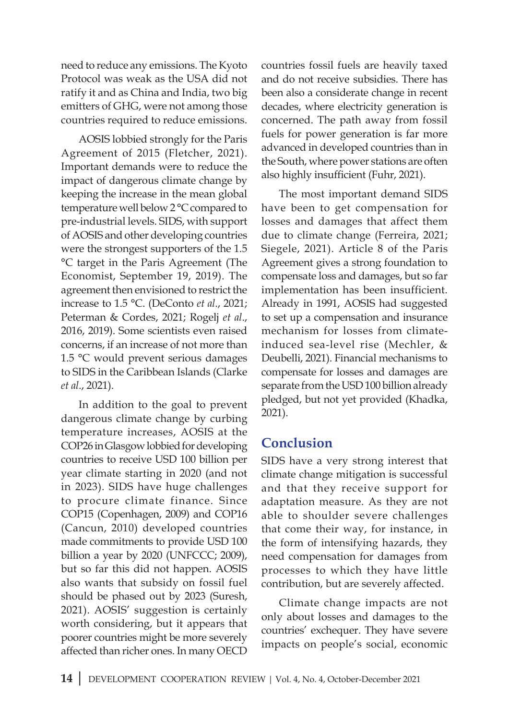need to reduce any emissions. The Kyoto Protocol was weak as the USA did not ratify it and as China and India, two big emitters of GHG, were not among those countries required to reduce emissions.

AOSIS lobbied strongly for the Paris Agreement of 2015 (Fletcher, 2021). Important demands were to reduce the impact of dangerous climate change by keeping the increase in the mean global temperature well below 2 °C compared to pre-industrial levels. SIDS, with support of AOSIS and other developing countries were the strongest supporters of the 1.5 °C target in the Paris Agreement (The Economist, September 19, 2019). The agreement then envisioned to restrict the increase to 1.5 °C. (DeConto *et al*., 2021; Peterman & Cordes, 2021; Rogelj *et al*., 2016, 2019). Some scientists even raised concerns, if an increase of not more than 1.5 °C would prevent serious damages to SIDS in the Caribbean Islands (Clarke *et al*., 2021).

In addition to the goal to prevent dangerous climate change by curbing temperature increases, AOSIS at the COP26 in Glasgow lobbied for developing countries to receive USD 100 billion per year climate starting in 2020 (and not in 2023). SIDS have huge challenges to procure climate finance. Since COP15 (Copenhagen, 2009) and COP16 (Cancun, 2010) developed countries made commitments to provide USD 100 billion a year by 2020 (UNFCCC; 2009), but so far this did not happen. AOSIS also wants that subsidy on fossil fuel should be phased out by 2023 (Suresh, 2021). AOSIS' suggestion is certainly worth considering, but it appears that poorer countries might be more severely affected than richer ones. In many OECD

countries fossil fuels are heavily taxed and do not receive subsidies. There has been also a considerate change in recent decades, where electricity generation is concerned. The path away from fossil fuels for power generation is far more advanced in developed countries than in the South, where power stations are often also highly insufficient (Fuhr, 2021).

The most important demand SIDS have been to get compensation for losses and damages that affect them due to climate change (Ferreira, 2021; Siegele, 2021). Article 8 of the Paris Agreement gives a strong foundation to compensate loss and damages, but so far implementation has been insufficient. Already in 1991, AOSIS had suggested to set up a compensation and insurance mechanism for losses from climateinduced sea-level rise (Mechler, & Deubelli, 2021). Financial mechanisms to compensate for losses and damages are separate from the USD 100 billion already pledged, but not yet provided (Khadka, 2021).

### **Conclusion**

SIDS have a very strong interest that climate change mitigation is successful and that they receive support for adaptation measure. As they are not able to shoulder severe challenges that come their way, for instance, in the form of intensifying hazards, they need compensation for damages from processes to which they have little contribution, but are severely affected.

Climate change impacts are not only about losses and damages to the countries' exchequer. They have severe impacts on people's social, economic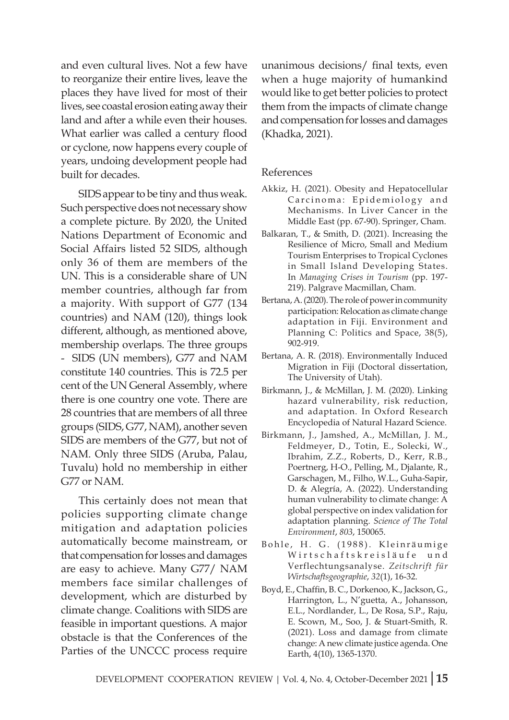and even cultural lives. Not a few have to reorganize their entire lives, leave the places they have lived for most of their lives, see coastal erosion eating away their land and after a while even their houses. What earlier was called a century flood or cyclone, now happens every couple of years, undoing development people had built for decades.

SIDS appear to be tiny and thus weak. Such perspective does not necessary show a complete picture. By 2020, the United Nations Department of Economic and Social Affairs listed 52 SIDS, although only 36 of them are members of the UN. This is a considerable share of UN member countries, although far from a majority. With support of G77 (134 countries) and NAM (120), things look different, although, as mentioned above, membership overlaps. The three groups - SIDS (UN members), G77 and NAM constitute 140 countries. This is 72.5 per cent of the UN General Assembly, where there is one country one vote. There are 28 countries that are members of all three groups (SIDS, G77, NAM), another seven SIDS are members of the G77, but not of NAM. Only three SIDS (Aruba, Palau, Tuvalu) hold no membership in either G77 or NAM.

This certainly does not mean that policies supporting climate change mitigation and adaptation policies automatically become mainstream, or that compensation for losses and damages are easy to achieve. Many G77/ NAM members face similar challenges of development, which are disturbed by climate change. Coalitions with SIDS are feasible in important questions. A major obstacle is that the Conferences of the Parties of the UNCCC process require

unanimous decisions/ final texts, even when a huge majority of humankind would like to get better policies to protect them from the impacts of climate change and compensation for losses and damages (Khadka, 2021).

#### References

- Akkiz, H. (2021). Obesity and Hepatocellular Carcinoma: Epidemiology and Mechanisms. In Liver Cancer in the Middle East (pp. 67-90). Springer, Cham.
- Balkaran, T., & Smith, D. (2021). Increasing the Resilience of Micro, Small and Medium Tourism Enterprises to Tropical Cyclones in Small Island Developing States. In *Managing Crises in Tourism* (pp. 197- 219). Palgrave Macmillan, Cham.
- Bertana, A. (2020). The role of power in community participation: Relocation as climate change adaptation in Fiji. Environment and Planning C: Politics and Space, 38(5), 902-919.
- Bertana, A. R. (2018). Environmentally Induced Migration in Fiji (Doctoral dissertation, The University of Utah).
- Birkmann, J., & McMillan, J. M. (2020). Linking hazard vulnerability, risk reduction, and adaptation. In Oxford Research Encyclopedia of Natural Hazard Science.
- Birkmann, J., Jamshed, A., McMillan, J. M., Feldmeyer, D., Totin, E., Solecki, W., Ibrahim, Z.Z., Roberts, D., Kerr, R.B., Poertnerg, H-O., Pelling, M., Djalante, R., Garschagen, M., Filho, W.L., Guha-Sapir, D. & Alegría, A. (2022). Understanding human vulnerability to climate change: A global perspective on index validation for adaptation planning. *Science of The Total Environment*, *803*, 150065.
- Bohle, H. G. (1988). Kleinräumige Wirtschaftskreisläufe und Verflechtungsanalyse. *Zeitschrift für Wirtschaftsgeographie*, *32*(1), 16-32.
- Boyd, E., Chaffin, B. C., Dorkenoo, K., Jackson, G., Harrington, L., N'guetta, A., Johansson, E.L., Nordlander, L., De Rosa, S.P., Raju, E. Scown, M., Soo, J. & Stuart-Smith, R. (2021). Loss and damage from climate change: A new climate justice agenda. One Earth, 4(10), 1365-1370.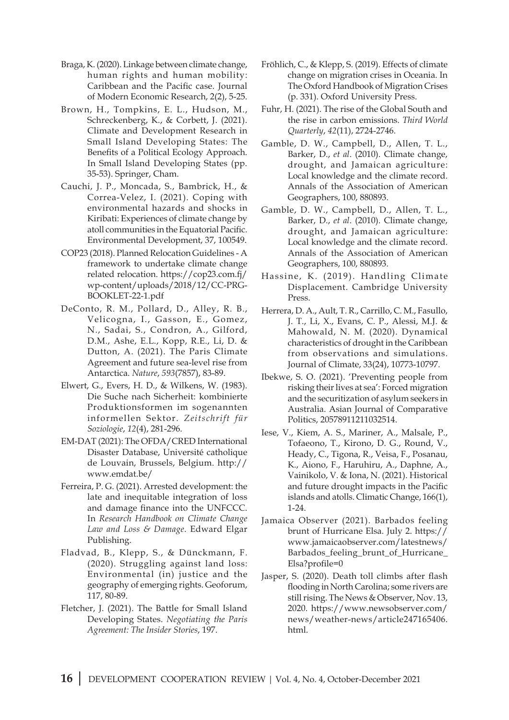- Braga, K. (2020). Linkage between climate change, human rights and human mobility: Caribbean and the Pacific case. Journal of Modern Economic Research, 2(2), 5-25.
- Brown, H., Tompkins, E. L., Hudson, M., Schreckenberg, K., & Corbett, J. (2021). Climate and Development Research in Small Island Developing States: The Benefits of a Political Ecology Approach. In Small Island Developing States (pp. 35-53). Springer, Cham.
- Cauchi, J. P., Moncada, S., Bambrick, H., & Correa-Velez, I. (2021). Coping with environmental hazards and shocks in Kiribati: Experiences of climate change by atoll communities in the Equatorial Pacific. Environmental Development, 37, 100549.
- COP23 (2018). Planned Relocation Guidelines A framework to undertake climate change related relocation. https://cop23.com.fj/ wp-content/uploads/2018/12/CC-PRG-BOOKLET-22-1.pdf
- DeConto, R. M., Pollard, D., Alley, R. B., Velicogna, I., Gasson, E., Gomez, N., Sadai, S., Condron, A., Gilford, D.M., Ashe, E.L., Kopp, R.E., Li, D. & Dutton, A. (2021). The Paris Climate Agreement and future sea-level rise from Antarctica. *Nature*, *593*(7857), 83-89.
- Elwert, G., Evers, H. D., & Wilkens, W. (1983). Die Suche nach Sicherheit: kombinierte Produktionsformen im sogenannten informellen Sektor. *Zeitschrift für Soziologie*, *12*(4), 281-296.
- EM-DAT (2021): The OFDA/CRED International Disaster Database, Université catholique de Louvain, Brussels, Belgium. http:// www.emdat.be/
- Ferreira, P. G. (2021). Arrested development: the late and inequitable integration of loss and damage finance into the UNFCCC. In *Research Handbook on Climate Change Law and Loss & Damage*. Edward Elgar Publishing.
- Fladvad, B., Klepp, S., & Dünckmann, F. (2020). Struggling against land loss: Environmental (in) justice and the geography of emerging rights. Geoforum, 117, 80-89.
- Fletcher, J. (2021). The Battle for Small Island Developing States. *Negotiating the Paris Agreement: The Insider Stories*, 197.
- Fröhlich, C., & Klepp, S. (2019). Effects of climate change on migration crises in Oceania. In The Oxford Handbook of Migration Crises (p. 331). Oxford University Press.
- Fuhr, H. (2021). The rise of the Global South and the rise in carbon emissions. *Third World Quarterly*, *42*(11), 2724-2746.
- Gamble, D. W., Campbell, D., Allen, T. L., Barker, D., *et al*. (2010). Climate change, drought, and Jamaican agriculture: Local knowledge and the climate record. Annals of the Association of American Geographers, 100, 880893.
- Gamble, D. W., Campbell, D., Allen, T. L., Barker, D., *et al*. (2010). Climate change, drought, and Jamaican agriculture: Local knowledge and the climate record. Annals of the Association of American Geographers, 100, 880893.
- Hassine, K. (2019). Handling Climate Displacement. Cambridge University Press.
- Herrera, D. A., Ault, T. R., Carrillo, C. M., Fasullo, J. T., Li, X., Evans, C. P., Alessi, M.J. & Mahowald, N. M. (2020). Dynamical characteristics of drought in the Caribbean from observations and simulations. Journal of Climate, 33(24), 10773-10797.
- Ibekwe, S. O. (2021). 'Preventing people from risking their lives at sea': Forced migration and the securitization of asylum seekers in Australia. Asian Journal of Comparative Politics, 20578911211032514.
- Iese, V., Kiem, A. S., Mariner, A., Malsale, P., Tofaeono, T., Kirono, D. G., Round, V., Heady, C., Tigona, R., Veisa, F., Posanau, K., Aiono, F., Haruhiru, A., Daphne, A., Vainikolo, V. & Iona, N. (2021). Historical and future drought impacts in the Pacific islands and atolls. Climatic Change, 166(1), 1-24.
- Jamaica Observer (2021). Barbados feeling brunt of Hurricane Elsa. July 2. https:// www.jamaicaobserver.com/latestnews/ Barbados\_feeling\_brunt\_of\_Hurricane\_ Elsa?profile=0
- Jasper, S. (2020). Death toll climbs after flash flooding in North Carolina; some rivers are still rising. The News & Observer, Nov. 13, 2020. https://www.newsobserver.com/ news/weather-news/article247165406. html.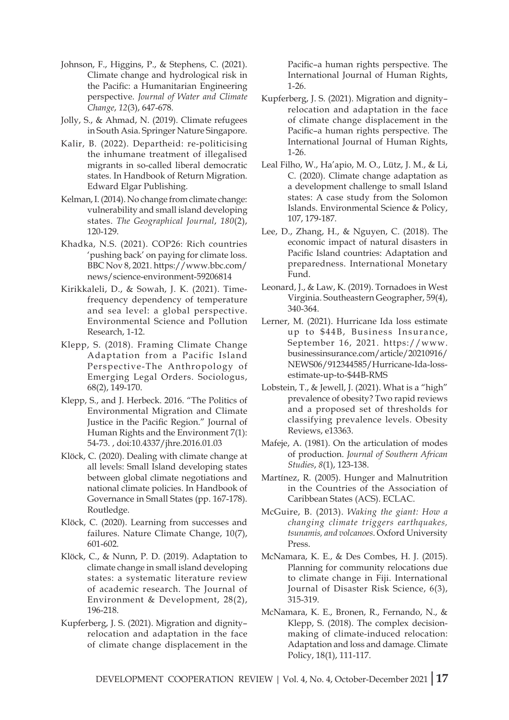- Johnson, F., Higgins, P., & Stephens, C. (2021). Climate change and hydrological risk in the Pacific: a Humanitarian Engineering perspective. *Journal of Water and Climate Change*, *12*(3), 647-678.
- Jolly, S., & Ahmad, N. (2019). Climate refugees in South Asia. Springer Nature Singapore.
- Kalir, B. (2022). Departheid: re-politicising the inhumane treatment of illegalised migrants in so-called liberal democratic states. In Handbook of Return Migration. Edward Elgar Publishing.
- Kelman, I. (2014). No change from climate change: vulnerability and small island developing states. *The Geographical Journal*, *180*(2), 120-129.
- Khadka, N.S. (2021). COP26: Rich countries 'pushing back' on paying for climate loss. BBC Nov 8, 2021. https://www.bbc.com/ news/science-environment-59206814
- Kirikkaleli, D., & Sowah, J. K. (2021). Timefrequency dependency of temperature and sea level: a global perspective. Environmental Science and Pollution Research, 1-12.
- Klepp, S. (2018). Framing Climate Change Adaptation from a Pacific Island Perspective-The Anthropology of Emerging Legal Orders. Sociologus, 68(2), 149-170.
- Klepp, S., and J. Herbeck. 2016. "The Politics of Environmental Migration and Climate Justice in the Pacific Region." Journal of Human Rights and the Environment 7(1): 54-73. , doi:10.4337/jhre.2016.01.03
- Klöck, C. (2020). Dealing with climate change at all levels: Small Island developing states between global climate negotiations and national climate policies. In Handbook of Governance in Small States (pp. 167-178). Routledge.
- Klöck, C. (2020). Learning from successes and failures. Nature Climate Change, 10(7), 601-602.
- Klöck, C., & Nunn, P. D. (2019). Adaptation to climate change in small island developing states: a systematic literature review of academic research. The Journal of Environment & Development, 28(2), 196-218.
- Kupferberg, J. S. (2021). Migration and dignity– relocation and adaptation in the face of climate change displacement in the

Pacific–a human rights perspective. The International Journal of Human Rights, 1-26.

- Kupferberg, J. S. (2021). Migration and dignity– relocation and adaptation in the face of climate change displacement in the Pacific–a human rights perspective. The International Journal of Human Rights, 1-26.
- Leal Filho, W., Ha'apio, M. O., Lütz, J. M., & Li, C. (2020). Climate change adaptation as a development challenge to small Island states: A case study from the Solomon Islands. Environmental Science & Policy, 107, 179-187.
- Lee, D., Zhang, H., & Nguyen, C. (2018). The economic impact of natural disasters in Pacific Island countries: Adaptation and preparedness. International Monetary Fund.
- Leonard, J., & Law, K. (2019). Tornadoes in West Virginia. Southeastern Geographer, 59(4), 340-364.
- Lerner, M. (2021). Hurricane Ida loss estimate up to \$44B, Business Insurance, September 16, 2021. https://www. businessinsurance.com/article/20210916/ NEWS06/912344585/Hurricane-Ida-lossestimate-up-to-\$44B-RMS
- Lobstein, T., & Jewell, J. (2021). What is a "high" prevalence of obesity? Two rapid reviews and a proposed set of thresholds for classifying prevalence levels. Obesity Reviews, e13363.
- Mafeje, A. (1981). On the articulation of modes of production. *Journal of Southern African Studies*, *8*(1), 123-138.
- Martínez, R. (2005). Hunger and Malnutrition in the Countries of the Association of Caribbean States (ACS). ECLAC.
- McGuire, B. (2013). *Waking the giant: How a changing climate triggers earthquakes, tsunamis, and volcanoes*. Oxford University Press.
- McNamara, K. E., & Des Combes, H. J. (2015). Planning for community relocations due to climate change in Fiji. International Journal of Disaster Risk Science, 6(3), 315-319.
- McNamara, K. E., Bronen, R., Fernando, N., & Klepp, S. (2018). The complex decisionmaking of climate-induced relocation: Adaptation and loss and damage. Climate Policy, 18(1), 111-117.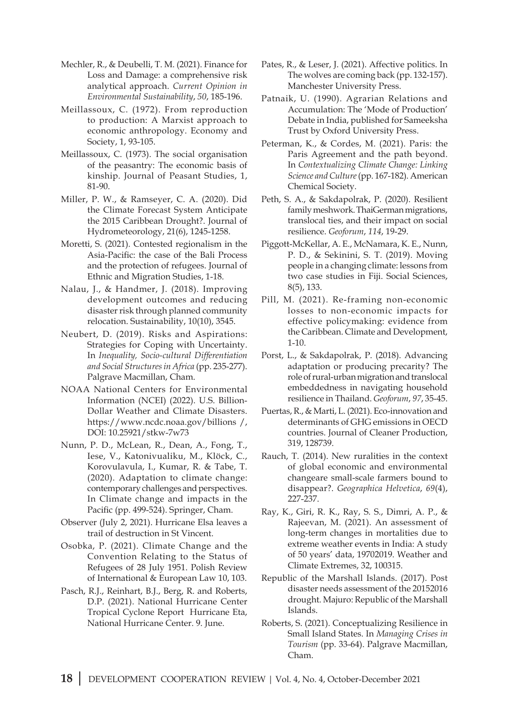- Mechler, R., & Deubelli, T. M. (2021). Finance for Loss and Damage: a comprehensive risk analytical approach. *Current Opinion in Environmental Sustainability*, *50*, 185-196.
- Meillassoux, C. (1972). From reproduction to production: A Marxist approach to economic anthropology. Economy and Society, 1, 93-105.
- Meillassoux, C. (1973). The social organisation of the peasantry: The economic basis of kinship. Journal of Peasant Studies, 1, 81-90.
- Miller, P. W., & Ramseyer, C. A. (2020). Did the Climate Forecast System Anticipate the 2015 Caribbean Drought?. Journal of Hydrometeorology, 21(6), 1245-1258.
- Moretti, S. (2021). Contested regionalism in the Asia-Pacific: the case of the Bali Process and the protection of refugees. Journal of Ethnic and Migration Studies, 1-18.
- Nalau, J., & Handmer, J. (2018). Improving development outcomes and reducing disaster risk through planned community relocation. Sustainability, 10(10), 3545.
- Neubert, D. (2019). Risks and Aspirations: Strategies for Coping with Uncertainty. In *Inequality, Socio-cultural Differentiation and Social Structures in Africa* (pp. 235-277). Palgrave Macmillan, Cham.
- NOAA National Centers for Environmental Information (NCEI) (2022). U.S. Billion-Dollar Weather and Climate Disasters. https://www.ncdc.noaa.gov/billions /, DOI: 10.25921/stkw-7w73
- Nunn, P. D., McLean, R., Dean, A., Fong, T., Iese, V., Katonivualiku, M., Klöck, C., Korovulavula, I., Kumar, R. & Tabe, T. (2020). Adaptation to climate change: contemporary challenges and perspectives. In Climate change and impacts in the Pacific (pp. 499-524). Springer, Cham.
- Observer (July 2, 2021). Hurricane Elsa leaves a trail of destruction in St Vincent.
- Osobka, P. (2021). Climate Change and the Convention Relating to the Status of Refugees of 28 July 1951. Polish Review of International & European Law 10, 103.
- Pasch, R.J., Reinhart, B.J., Berg, R. and Roberts, D.P. (2021). National Hurricane Center Tropical Cyclone Report Hurricane Eta, National Hurricane Center. 9. June.
- Pates, R., & Leser, J. (2021). Affective politics. In The wolves are coming back (pp. 132-157). Manchester University Press.
- Patnaik, U. (1990). Agrarian Relations and Accumulation: The 'Mode of Production' Debate in India, published for Sameeksha Trust by Oxford University Press.
- Peterman, K., & Cordes, M. (2021). Paris: the Paris Agreement and the path beyond. In *Contextualizing Climate Change: Linking Science and Culture*(pp. 167-182). American Chemical Society.
- Peth, S. A., & Sakdapolrak, P. (2020). Resilient family meshwork. ThaiGerman migrations, translocal ties, and their impact on social resilience. *Geoforum*, *114*, 19-29.
- Piggott-McKellar, A. E., McNamara, K. E., Nunn, P. D., & Sekinini, S. T. (2019). Moving people in a changing climate: lessons from two case studies in Fiji. Social Sciences, 8(5), 133.
- Pill, M. (2021). Re-framing non-economic losses to non-economic impacts for effective policymaking: evidence from the Caribbean. Climate and Development, 1-10.
- Porst, L., & Sakdapolrak, P. (2018). Advancing adaptation or producing precarity? The role of rural-urban migration and translocal embeddedness in navigating household resilience in Thailand. *Geoforum*, *97*, 35-45.
- Puertas, R., & Marti, L. (2021). Eco-innovation and determinants of GHG emissions in OECD countries. Journal of Cleaner Production, 319, 128739.
- Rauch, T. (2014). New ruralities in the context of global economic and environmental changeare small-scale farmers bound to disappear?. *Geographica Helvetica*, *69*(4), 227-237.
- Ray, K., Giri, R. K., Ray, S. S., Dimri, A. P., & Rajeevan, M. (2021). An assessment of long-term changes in mortalities due to extreme weather events in India: A study of 50 years' data, 19702019. Weather and Climate Extremes, 32, 100315.
- Republic of the Marshall Islands. (2017). Post disaster needs assessment of the 20152016 drought. Majuro: Republic of the Marshall Islands.
- Roberts, S. (2021). Conceptualizing Resilience in Small Island States. In *Managing Crises in Tourism* (pp. 33-64). Palgrave Macmillan, Cham.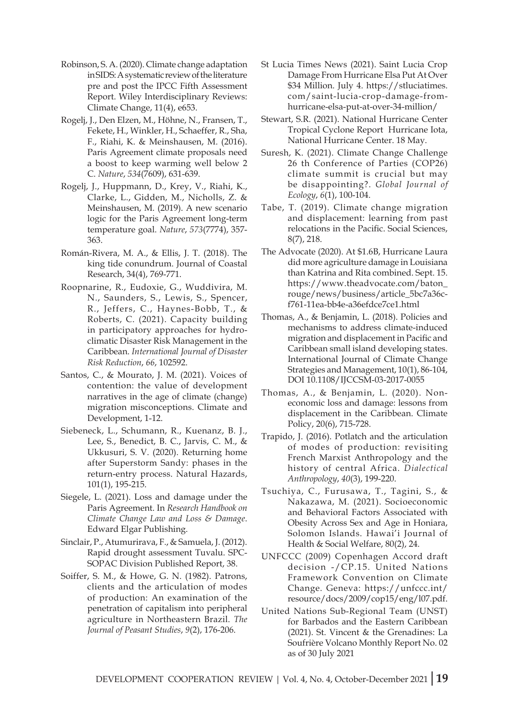- Robinson, S. A. (2020). Climate change adaptation in SIDS: A systematic review of the literature pre and post the IPCC Fifth Assessment Report. Wiley Interdisciplinary Reviews: Climate Change, 11(4), e653.
- Rogelj, J., Den Elzen, M., Höhne, N., Fransen, T., Fekete, H., Winkler, H., Schaeffer, R., Sha, F., Riahi, K. & Meinshausen, M. (2016). Paris Agreement climate proposals need a boost to keep warming well below 2 C. *Nature*, *534*(7609), 631-639.
- Rogelj, J., Huppmann, D., Krey, V., Riahi, K., Clarke, L., Gidden, M., Nicholls, Z. & Meinshausen, M. (2019). A new scenario logic for the Paris Agreement long-term temperature goal. *Nature*, *573*(7774), 357- 363.
- Román-Rivera, M. A., & Ellis, J. T. (2018). The king tide conundrum. Journal of Coastal Research, 34(4), 769-771.
- Roopnarine, R., Eudoxie, G., Wuddivira, M. N., Saunders, S., Lewis, S., Spencer, R., Jeffers, C., Haynes-Bobb, T., & Roberts, C. (2021). Capacity building in participatory approaches for hydroclimatic Disaster Risk Management in the Caribbean. *International Journal of Disaster Risk Reduction*, *66*, 102592.
- Santos, C., & Mourato, J. M. (2021). Voices of contention: the value of development narratives in the age of climate (change) migration misconceptions. Climate and Development, 1-12.
- Siebeneck, L., Schumann, R., Kuenanz, B. J., Lee, S., Benedict, B. C., Jarvis, C. M., & Ukkusuri, S. V. (2020). Returning home after Superstorm Sandy: phases in the return-entry process. Natural Hazards, 101(1), 195-215.
- Siegele, L. (2021). Loss and damage under the Paris Agreement. In *Research Handbook on Climate Change Law and Loss & Damage*. Edward Elgar Publishing.
- Sinclair, P., Atumurirava, F., & Samuela, J. (2012). Rapid drought assessment Tuvalu. SPC-SOPAC Division Published Report, 38.
- Soiffer, S. M., & Howe, G. N. (1982). Patrons, clients and the articulation of modes of production: An examination of the penetration of capitalism into peripheral agriculture in Northeastern Brazil. *The Journal of Peasant Studies*, *9*(2), 176-206.
- St Lucia Times News (2021). Saint Lucia Crop Damage From Hurricane Elsa Put At Over \$34 Million. July 4. https://stluciatimes. com/saint-lucia-crop-damage-fromhurricane-elsa-put-at-over-34-million/
- Stewart, S.R. (2021). National Hurricane Center Tropical Cyclone Report Hurricane Iota, National Hurricane Center. 18 May.
- Suresh, K. (2021). Climate Change Challenge 26 th Conference of Parties (COP26) climate summit is crucial but may be disappointing?. *Global Journal of Ecology*, *6*(1), 100-104.
- Tabe, T. (2019). Climate change migration and displacement: learning from past relocations in the Pacific. Social Sciences, 8(7), 218.
- The Advocate (2020). At \$1.6B, Hurricane Laura did more agriculture damage in Louisiana than Katrina and Rita combined. Sept. 15. https://www.theadvocate.com/baton\_ rouge/news/business/article\_5bc7a36cf761-11ea-bb4e-a36efdce7ce1.html
- Thomas, A., & Benjamin, L. (2018). Policies and mechanisms to address climate-induced migration and displacement in Pacific and Caribbean small island developing states. International Journal of Climate Change Strategies and Management, 10(1), 86-104, DOI 10.1108/IJCCSM-03-2017-0055
- Thomas, A., & Benjamin, L. (2020). Noneconomic loss and damage: lessons from displacement in the Caribbean. Climate Policy, 20(6), 715-728.
- Trapido, J. (2016). Potlatch and the articulation of modes of production: revisiting French Marxist Anthropology and the history of central Africa. *Dialectical Anthropology*, *40*(3), 199-220.
- Tsuchiya, C., Furusawa, T., Tagini, S., & Nakazawa, M. (2021). Socioeconomic and Behavioral Factors Associated with Obesity Across Sex and Age in Honiara, Solomon Islands. Hawai'i Journal of Health & Social Welfare, 80(2), 24.
- UNFCCC (2009) Copenhagen Accord draft decision -/CP.15. United Nations Framework Convention on Climate Change. Geneva: https://unfccc.int/ resource/docs/2009/cop15/eng/l07.pdf.
- United Nations Sub-Regional Team (UNST) for Barbados and the Eastern Caribbean (2021). St. Vincent & the Grenadines: La Soufrière Volcano Monthly Report No. 02 as of 30 July 2021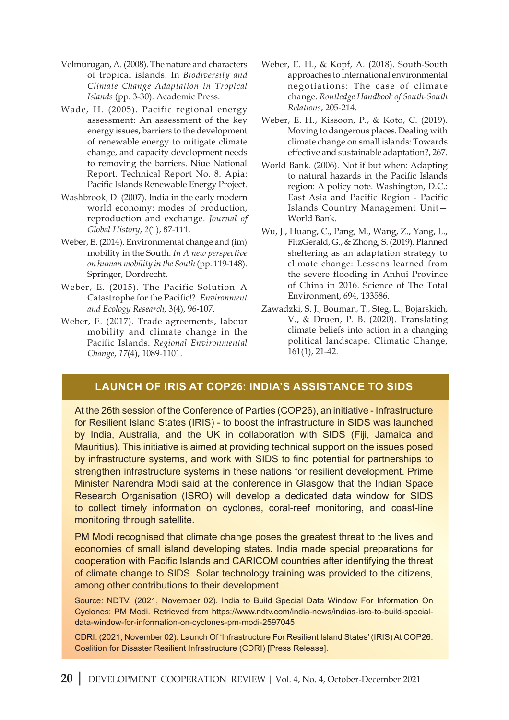- Velmurugan, A. (2008). The nature and characters of tropical islands. In *Biodiversity and Climate Change Adaptation in Tropical Islands* (pp. 3-30). Academic Press.
- Wade, H. (2005). Pacific regional energy assessment: An assessment of the key energy issues, barriers to the development of renewable energy to mitigate climate change, and capacity development needs to removing the barriers. Niue National Report. Technical Report No. 8. Apia: Pacific Islands Renewable Energy Project.
- Washbrook, D. (2007). India in the early modern world economy: modes of production, reproduction and exchange. *Journal of Global History*, *2*(1), 87-111.
- Weber, E. (2014). Environmental change and (im) mobility in the South. *In A new perspective on human mobility in the South* (pp. 119-148). Springer, Dordrecht.
- Weber, E. (2015). The Pacific Solution–A Catastrophe for the Pacific!?. *Environment and Ecology Research*, 3(4), 96-107.
- Weber, E. (2017). Trade agreements, labour mobility and climate change in the Pacific Islands. *Regional Environmental Change*, *17*(4), 1089-1101.
- Weber, E. H., & Kopf, A. (2018). South-South approaches to international environmental negotiations: The case of climate change. *Routledge Handbook of South-South Relations*, 205-214.
- Weber, E. H., Kissoon, P., & Koto, C. (2019). Moving to dangerous places. Dealing with climate change on small islands: Towards effective and sustainable adaptation?, 267.
- World Bank. (2006). Not if but when: Adapting to natural hazards in the Pacific Islands region: A policy note. Washington, D.C.: East Asia and Pacific Region - Pacific Islands Country Management Unit— World Bank.
- Wu, J., Huang, C., Pang, M., Wang, Z., Yang, L., FitzGerald, G., & Zhong, S. (2019). Planned sheltering as an adaptation strategy to climate change: Lessons learned from the severe flooding in Anhui Province of China in 2016. Science of The Total Environment, 694, 133586.
- Zawadzki, S. J., Bouman, T., Steg, L., Bojarskich, V., & Druen, P. B. (2020). Translating climate beliefs into action in a changing political landscape. Climatic Change, 161(1), 21-42.

#### **Launch of IRIS at COP26: India's Assistance to SIDS**

At the 26th session of the Conference of Parties (COP26), an initiative - Infrastructure for Resilient Island States (IRIS) - to boost the infrastructure in SIDS was launched by India, Australia, and the UK in collaboration with SIDS (Fiji, Jamaica and Mauritius). This initiative is aimed at providing technical support on the issues posed by infrastructure systems, and work with SIDS to find potential for partnerships to strengthen infrastructure systems in these nations for resilient development. Prime Minister Narendra Modi said at the conference in Glasgow that the Indian Space Research Organisation (ISRO) will develop a dedicated data window for SIDS to collect timely information on cyclones, coral-reef monitoring, and coast-line monitoring through satellite.

PM Modi recognised that climate change poses the greatest threat to the lives and economies of small island developing states. India made special preparations for cooperation with Pacific Islands and CARICOM countries after identifying the threat of climate change to SIDS. Solar technology training was provided to the citizens, among other contributions to their development.

Source: NDTV. (2021, November 02). India to Build Special Data Window For Information On Cyclones: PM Modi. Retrieved from https://www.ndtv.com/india-news/indias-isro-to-build-specialdata-window-for-information-on-cyclones-pm-modi-2597045

CDRI. (2021, November 02). Launch Of 'Infrastructure For Resilient Island States' (IRIS) At COP26. Coalition for Disaster Resilient Infrastructure (CDRI) [Press Release].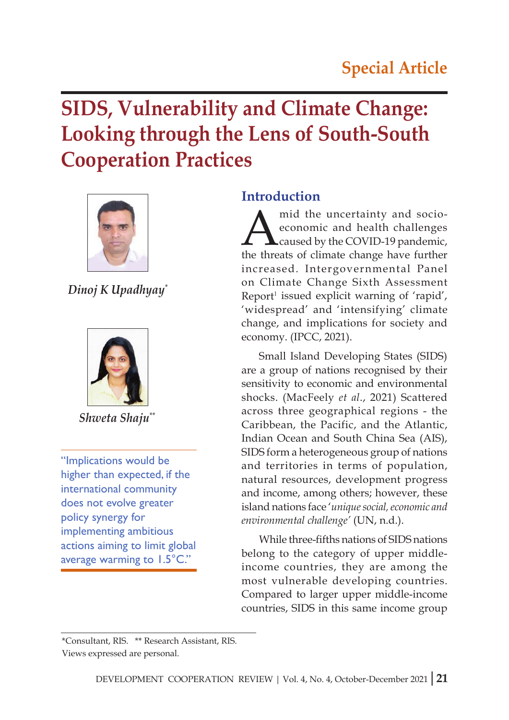# **SIDS, Vulnerability and Climate Change: Looking through the Lens of South-South Cooperation Practices**



*Dinoj K Upadhyay\**



*Shweta Shaju\*\**

"Implications would be higher than expected, if the international community does not evolve greater policy synergy for implementing ambitious actions aiming to limit global average warming to 1.5°C."

#### **Introduction**

Amid the uncertainty and socio-<br>economic and health challenges<br>the threats of climate change have further economic and health challenges caused by the COVID-19 pandemic, the threats of climate change have further increased. Intergovernmental Panel on Climate Change Sixth Assessment Report<sup>1</sup> issued explicit warning of 'rapid', 'widespread' and 'intensifying' climate change, and implications for society and economy. (IPCC, 2021).

Small Island Developing States (SIDS) are a group of nations recognised by their sensitivity to economic and environmental shocks. (MacFeely *et al*., 2021) Scattered across three geographical regions - the Caribbean, the Pacific, and the Atlantic, Indian Ocean and South China Sea (AIS), SIDS form a heterogeneous group of nations and territories in terms of population, natural resources, development progress and income, among others; however, these island nations face '*unique social, economic and environmental challenge'* (UN, n.d.).

While three-fifths nations of SIDS nations belong to the category of upper middleincome countries, they are among the most vulnerable developing countries. Compared to larger upper middle-income countries, SIDS in this same income group

<sup>\*</sup>Consultant, RIS. \*\* Research Assistant, RIS. Views expressed are personal.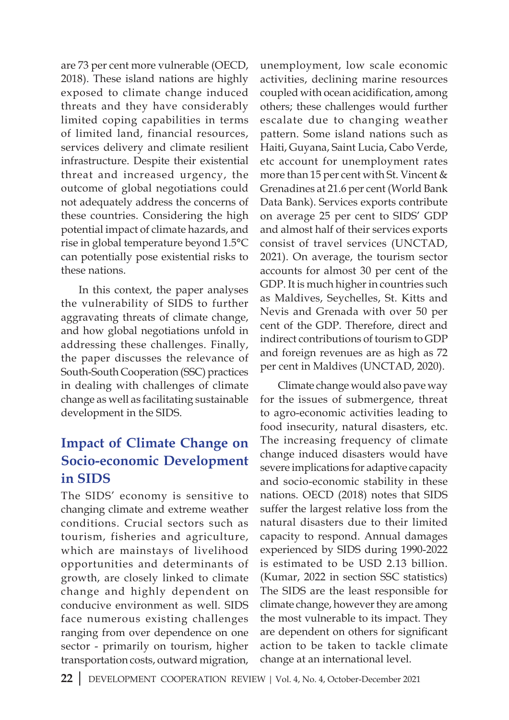are 73 per cent more vulnerable (OECD, 2018). These island nations are highly exposed to climate change induced threats and they have considerably limited coping capabilities in terms of limited land, financial resources, services delivery and climate resilient infrastructure. Despite their existential threat and increased urgency, the outcome of global negotiations could not adequately address the concerns of these countries. Considering the high potential impact of climate hazards, and rise in global temperature beyond 1.5°C can potentially pose existential risks to these nations.

In this context, the paper analyses the vulnerability of SIDS to further aggravating threats of climate change, and how global negotiations unfold in addressing these challenges. Finally, the paper discusses the relevance of South-South Cooperation (SSC) practices in dealing with challenges of climate change as well as facilitating sustainable development in the SIDS.

# **Impact of Climate Change on Socio-economic Development in SIDS**

The SIDS' economy is sensitive to changing climate and extreme weather conditions. Crucial sectors such as tourism, fisheries and agriculture, which are mainstays of livelihood opportunities and determinants of growth, are closely linked to climate change and highly dependent on conducive environment as well. SIDS face numerous existing challenges ranging from over dependence on one sector - primarily on tourism, higher transportation costs, outward migration,

unemployment, low scale economic activities, declining marine resources coupled with ocean acidification, among others; these challenges would further escalate due to changing weather pattern. Some island nations such as Haiti, Guyana, Saint Lucia, Cabo Verde, etc account for unemployment rates more than 15 per cent with St. Vincent & Grenadines at 21.6 per cent (World Bank Data Bank). Services exports contribute on average 25 per cent to SIDS' GDP and almost half of their services exports consist of travel services (UNCTAD, 2021). On average, the tourism sector accounts for almost 30 per cent of the GDP. It is much higher in countries such as Maldives, Seychelles, St. Kitts and Nevis and Grenada with over 50 per cent of the GDP. Therefore, direct and indirect contributions of tourism to GDP and foreign revenues are as high as 72 per cent in Maldives (UNCTAD, 2020).

Climate change would also pave way for the issues of submergence, threat to agro-economic activities leading to food insecurity, natural disasters, etc. The increasing frequency of climate change induced disasters would have severe implications for adaptive capacity and socio-economic stability in these nations. OECD (2018) notes that SIDS suffer the largest relative loss from the natural disasters due to their limited capacity to respond. Annual damages experienced by SIDS during 1990-2022 is estimated to be USD 2.13 billion. (Kumar, 2022 in section SSC statistics) The SIDS are the least responsible for climate change, however they are among the most vulnerable to its impact. They are dependent on others for significant action to be taken to tackle climate change at an international level.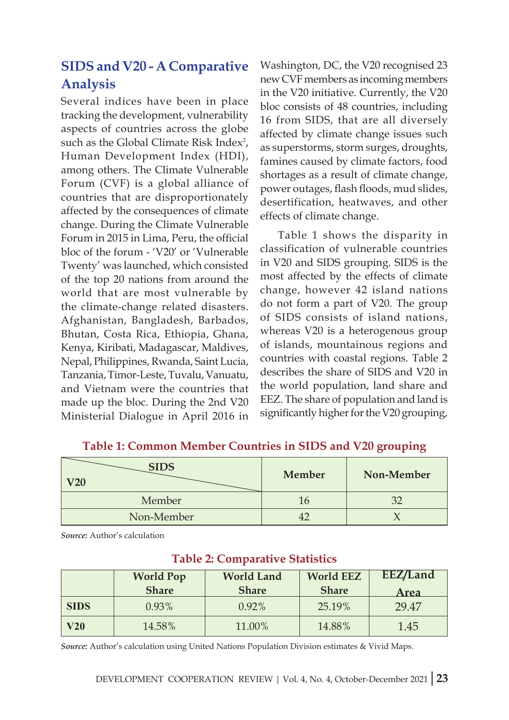# **SIDS and V20 - A Comparative Analysis**

Several indices have been in place tracking the development, vulnerability aspects of countries across the globe such as the Global Climate Risk Index<sup>2</sup>, Human Development Index (HDI), among others. The Climate Vulnerable Forum (CVF) is a global alliance of countries that are disproportionately affected by the consequences of climate change. During the Climate Vulnerable Forum in 2015 in Lima, Peru, the official bloc of the forum - 'V20' or 'Vulnerable Twenty' was launched, which consisted of the top 20 nations from around the world that are most vulnerable by the climate-change related disasters. Afghanistan, Bangladesh, Barbados, Bhutan, Costa Rica, Ethiopia, Ghana, Kenya, Kiribati, Madagascar, Maldives, Nepal, Philippines, Rwanda, Saint Lucia, Tanzania, Timor-Leste, Tuvalu, Vanuatu, and Vietnam were the countries that made up the bloc. During the 2nd V20 Ministerial Dialogue in April 2016 in

Washington, DC, the V20 recognised 23 new CVF members as incoming members in the V20 initiative. Currently, the V20 bloc consists of 48 countries, including 16 from SIDS, that are all diversely affected by climate change issues such as superstorms, storm surges, droughts, famines caused by climate factors, food shortages as a result of climate change, power outages, flash floods, mud slides, desertification, heatwaves, and other effects of climate change.

Table 1 shows the disparity in classification of vulnerable countries in V20 and SIDS grouping. SIDS is the most affected by the effects of climate change, however 42 island nations do not form a part of V20. The group of SIDS consists of island nations, whereas V20 is a heterogenous group of islands, mountainous regions and countries with coastal regions. Table 2 describes the share of SIDS and V20 in the world population, land share and EEZ. The share of population and land is significantly higher for the V20 grouping,

| <b>SIDS</b><br>V20 | Member | Non-Member |
|--------------------|--------|------------|
| Member             |        |            |
| Non-Member         |        |            |

#### **Table 1: Common Member Countries in SIDS and V20 grouping**

*Source:* Author's calculation

|             | <b>World Pop</b> | <b>World Land</b> | <b>World EEZ</b> | EEZ/Land |
|-------------|------------------|-------------------|------------------|----------|
|             | <b>Share</b>     | <b>Share</b>      | <b>Share</b>     | Area     |
| <b>SIDS</b> | $0.93\%$         | $0.92\%$          | 25.19%           | 29.47    |
| V20         | 14.58%           | 11.00%            | 14.88%           | 1.45     |

#### **Table 2: Comparative Statistics**

*Source:* Author's calculation using United Nations Population Division estimates & Vivid Maps.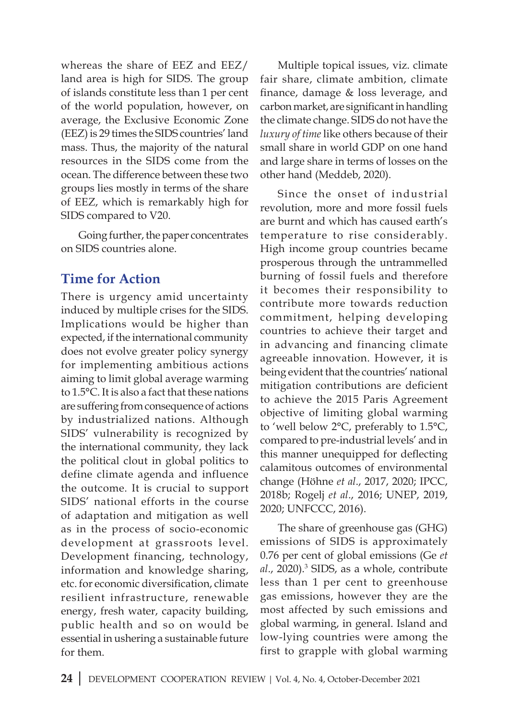whereas the share of EEZ and EEZ/ land area is high for SIDS. The group of islands constitute less than 1 per cent of the world population, however, on average, the Exclusive Economic Zone (EEZ) is 29 times the SIDS countries' land mass. Thus, the majority of the natural resources in the SIDS come from the ocean. The difference between these two groups lies mostly in terms of the share of EEZ, which is remarkably high for SIDS compared to V20.

Going further, the paper concentrates on SIDS countries alone.

# **Time for Action**

There is urgency amid uncertainty induced by multiple crises for the SIDS. Implications would be higher than expected, if the international community does not evolve greater policy synergy for implementing ambitious actions aiming to limit global average warming to 1.5°C. It is also a fact that these nations are suffering from consequence of actions by industrialized nations. Although SIDS' vulnerability is recognized by the international community, they lack the political clout in global politics to define climate agenda and influence the outcome. It is crucial to support SIDS' national efforts in the course of adaptation and mitigation as well as in the process of socio-economic development at grassroots level. Development financing, technology, information and knowledge sharing, etc. for economic diversification, climate resilient infrastructure, renewable energy, fresh water, capacity building, public health and so on would be essential in ushering a sustainable future for them.

Multiple topical issues, viz. climate fair share, climate ambition, climate finance, damage  $&$  loss leverage, and carbon market, are significant in handling the climate change. SIDS do not have the *luxury of time* like others because of their small share in world GDP on one hand and large share in terms of losses on the other hand (Meddeb, 2020).

Since the onset of industrial revolution, more and more fossil fuels are burnt and which has caused earth's temperature to rise considerably. High income group countries became prosperous through the untrammelled burning of fossil fuels and therefore it becomes their responsibility to contribute more towards reduction commitment, helping developing countries to achieve their target and in advancing and financing climate agreeable innovation. However, it is being evident that the countries' national mitigation contributions are deficient to achieve the 2015 Paris Agreement objective of limiting global warming to 'well below 2°C, preferably to 1.5°C, compared to pre-industrial levels' and in this manner unequipped for deflecting calamitous outcomes of environmental change (Höhne *et al*., 2017, 2020; IPCC, 2018b; Rogelj *et al*., 2016; UNEP, 2019, 2020; UNFCCC, 2016).

The share of greenhouse gas (GHG) emissions of SIDS is approximately 0.76 per cent of global emissions (Ge *et*  al., 2020).<sup>3</sup> SIDS, as a whole, contribute less than 1 per cent to greenhouse gas emissions, however they are the most affected by such emissions and global warming, in general. Island and low-lying countries were among the first to grapple with global warming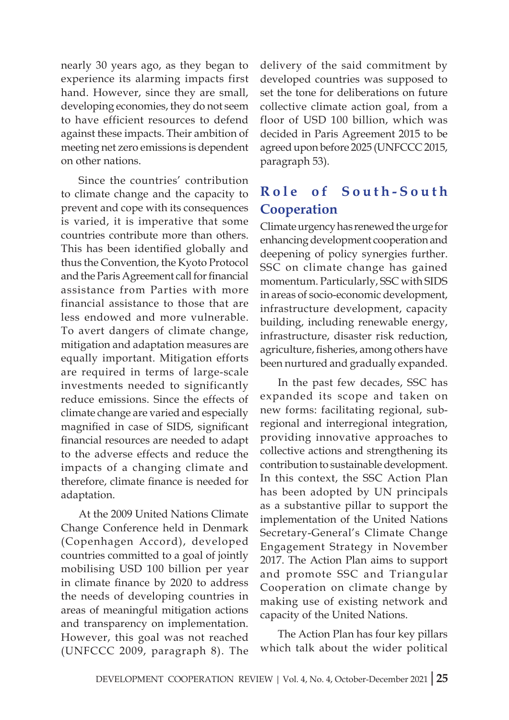nearly 30 years ago, as they began to experience its alarming impacts first hand. However, since they are small, developing economies, they do not seem to have efficient resources to defend against these impacts. Their ambition of meeting net zero emissions is dependent on other nations.

Since the countries' contribution to climate change and the capacity to prevent and cope with its consequences is varied, it is imperative that some countries contribute more than others. This has been identified globally and thus the Convention, the Kyoto Protocol and the Paris Agreement call for financial assistance from Parties with more financial assistance to those that are less endowed and more vulnerable. To avert dangers of climate change, mitigation and adaptation measures are equally important. Mitigation efforts are required in terms of large-scale investments needed to significantly reduce emissions. Since the effects of climate change are varied and especially magnified in case of SIDS, significant financial resources are needed to adapt to the adverse effects and reduce the impacts of a changing climate and therefore, climate finance is needed for adaptation.

At the 2009 United Nations Climate Change Conference held in Denmark (Copenhagen Accord), developed countries committed to a goal of jointly mobilising USD 100 billion per year in climate finance by 2020 to address the needs of developing countries in areas of meaningful mitigation actions and transparency on implementation. However, this goal was not reached (UNFCCC 2009, paragraph 8). The

delivery of the said commitment by developed countries was supposed to set the tone for deliberations on future collective climate action goal, from a floor of USD 100 billion, which was decided in Paris Agreement 2015 to be agreed upon before 2025 (UNFCCC 2015, paragraph 53).

# **R o l e o f S o u t h - S o u t h Cooperation**

Climate urgency has renewed the urge for enhancing development cooperation and deepening of policy synergies further. SSC on climate change has gained momentum. Particularly, SSC with SIDS in areas of socio-economic development, infrastructure development, capacity building, including renewable energy, infrastructure, disaster risk reduction, agriculture, fisheries, among others have been nurtured and gradually expanded.

In the past few decades, SSC has expanded its scope and taken on new forms: facilitating regional, subregional and interregional integration, providing innovative approaches to collective actions and strengthening its contribution to sustainable development. In this context, the SSC Action Plan has been adopted by UN principals as a substantive pillar to support the implementation of the United Nations Secretary-General's Climate Change Engagement Strategy in November 2017. The Action Plan aims to support and promote SSC and Triangular Cooperation on climate change by making use of existing network and capacity of the United Nations.

The Action Plan has four key pillars which talk about the wider political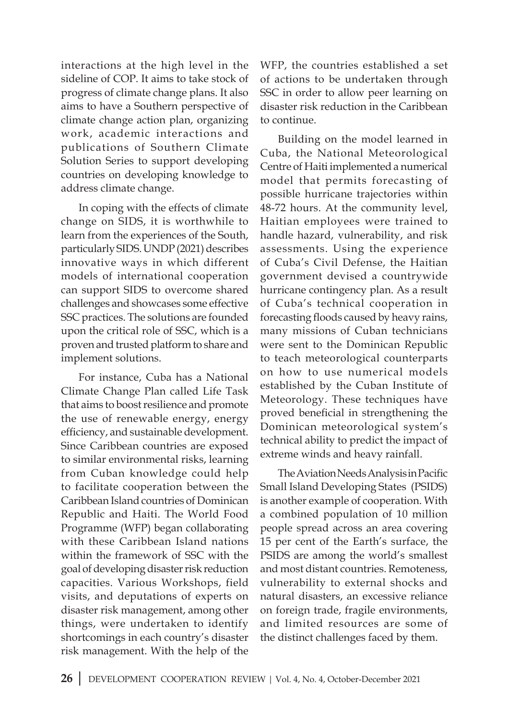interactions at the high level in the sideline of COP. It aims to take stock of progress of climate change plans. It also aims to have a Southern perspective of climate change action plan, organizing work, academic interactions and publications of Southern Climate Solution Series to support developing countries on developing knowledge to address climate change.

In coping with the effects of climate change on SIDS, it is worthwhile to learn from the experiences of the South, particularly SIDS. UNDP (2021) describes innovative ways in which different models of international cooperation can support SIDS to overcome shared challenges and showcases some effective SSC practices. The solutions are founded upon the critical role of SSC, which is a proven and trusted platform to share and implement solutions.

For instance, Cuba has a National Climate Change Plan called Life Task that aims to boost resilience and promote the use of renewable energy, energy efficiency, and sustainable development. Since Caribbean countries are exposed to similar environmental risks, learning from Cuban knowledge could help to facilitate cooperation between the Caribbean Island countries of Dominican Republic and Haiti. The World Food Programme (WFP) began collaborating with these Caribbean Island nations within the framework of SSC with the goal of developing disaster risk reduction capacities. Various Workshops, field visits, and deputations of experts on disaster risk management, among other things, were undertaken to identify shortcomings in each country's disaster risk management. With the help of the WFP, the countries established a set of actions to be undertaken through SSC in order to allow peer learning on disaster risk reduction in the Caribbean to continue.

Building on the model learned in Cuba, the National Meteorological Centre of Haiti implemented a numerical model that permits forecasting of possible hurricane trajectories within 48-72 hours. At the community level, Haitian employees were trained to handle hazard, vulnerability, and risk assessments. Using the experience of Cuba's Civil Defense, the Haitian government devised a countrywide hurricane contingency plan. As a result of Cuba's technical cooperation in forecasting floods caused by heavy rains, many missions of Cuban technicians were sent to the Dominican Republic to teach meteorological counterparts on how to use numerical models established by the Cuban Institute of Meteorology. These techniques have proved beneficial in strengthening the Dominican meteorological system's technical ability to predict the impact of extreme winds and heavy rainfall.

The Aviation Needs Analysis in Pacific Small Island Developing States (PSIDS) is another example of cooperation. With a combined population of 10 million people spread across an area covering 15 per cent of the Earth's surface, the PSIDS are among the world's smallest and most distant countries. Remoteness, vulnerability to external shocks and natural disasters, an excessive reliance on foreign trade, fragile environments, and limited resources are some of the distinct challenges faced by them.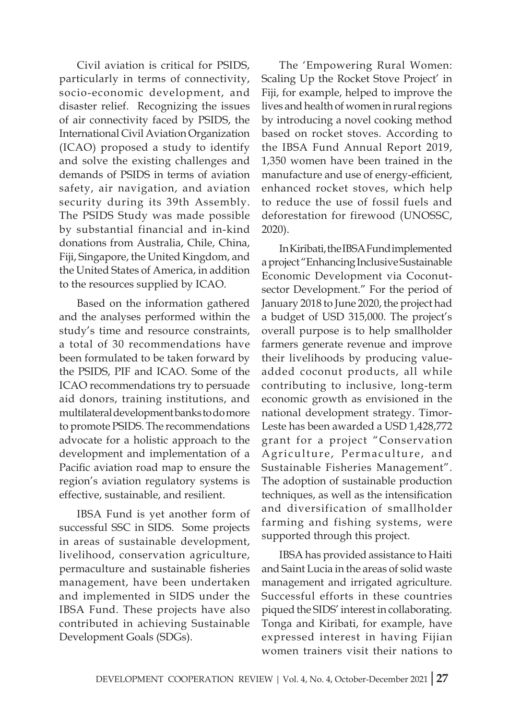Civil aviation is critical for PSIDS, particularly in terms of connectivity, socio-economic development, and disaster relief. Recognizing the issues of air connectivity faced by PSIDS, the International Civil Aviation Organization (ICAO) proposed a study to identify and solve the existing challenges and demands of PSIDS in terms of aviation safety, air navigation, and aviation security during its 39th Assembly. The PSIDS Study was made possible by substantial financial and in-kind donations from Australia, Chile, China, Fiji, Singapore, the United Kingdom, and the United States of America, in addition to the resources supplied by ICAO.

Based on the information gathered and the analyses performed within the study's time and resource constraints, a total of 30 recommendations have been formulated to be taken forward by the PSIDS, PIF and ICAO. Some of the ICAO recommendations try to persuade aid donors, training institutions, and multilateral development banks to do more to promote PSIDS. The recommendations advocate for a holistic approach to the development and implementation of a Pacific aviation road map to ensure the region's aviation regulatory systems is effective, sustainable, and resilient.

IBSA Fund is yet another form of successful SSC in SIDS. Some projects in areas of sustainable development, livelihood, conservation agriculture, permaculture and sustainable fisheries management, have been undertaken and implemented in SIDS under the IBSA Fund. These projects have also contributed in achieving Sustainable Development Goals (SDGs).

The 'Empowering Rural Women: Scaling Up the Rocket Stove Project' in Fiji, for example, helped to improve the lives and health of women in rural regions by introducing a novel cooking method based on rocket stoves. According to the IBSA Fund Annual Report 2019, 1,350 women have been trained in the manufacture and use of energy-efficient, enhanced rocket stoves, which help to reduce the use of fossil fuels and deforestation for firewood (UNOSSC, 2020).

In Kiribati, the IBSA Fund implemented a project "Enhancing Inclusive Sustainable Economic Development via Coconutsector Development." For the period of January 2018 to June 2020, the project had a budget of USD 315,000. The project's overall purpose is to help smallholder farmers generate revenue and improve their livelihoods by producing valueadded coconut products, all while contributing to inclusive, long-term economic growth as envisioned in the national development strategy. Timor-Leste has been awarded a USD 1,428,772 grant for a project "Conservation Agriculture, Permaculture, and Sustainable Fisheries Management". The adoption of sustainable production techniques, as well as the intensification and diversification of smallholder farming and fishing systems, were supported through this project.

IBSA has provided assistance to Haiti and Saint Lucia in the areas of solid waste management and irrigated agriculture. Successful efforts in these countries piqued the SIDS' interest in collaborating. Tonga and Kiribati, for example, have expressed interest in having Fijian women trainers visit their nations to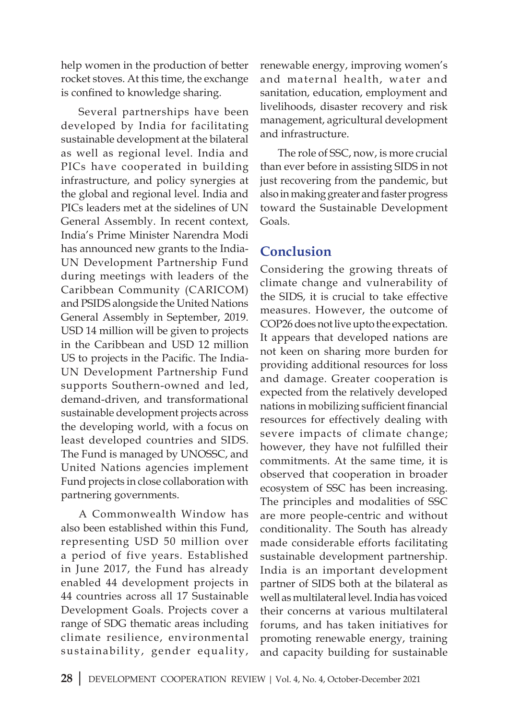help women in the production of better rocket stoves. At this time, the exchange is confined to knowledge sharing.

Several partnerships have been developed by India for facilitating sustainable development at the bilateral as well as regional level. India and PICs have cooperated in building infrastructure, and policy synergies at the global and regional level. India and PICs leaders met at the sidelines of UN General Assembly. In recent context, India's Prime Minister Narendra Modi has announced new grants to the India-UN Development Partnership Fund during meetings with leaders of the Caribbean Community (CARICOM) and PSIDS alongside the United Nations General Assembly in September, 2019. USD 14 million will be given to projects in the Caribbean and USD 12 million US to projects in the Pacific. The India-UN Development Partnership Fund supports Southern-owned and led, demand-driven, and transformational sustainable development projects across the developing world, with a focus on least developed countries and SIDS. The Fund is managed by UNOSSC, and United Nations agencies implement Fund projects in close collaboration with partnering governments.

A Commonwealth Window has also been established within this Fund, representing USD 50 million over a period of five years. Established in June 2017, the Fund has already enabled 44 development projects in 44 countries across all 17 Sustainable Development Goals. Projects cover a range of SDG thematic areas including climate resilience, environmental sustainability, gender equality, renewable energy, improving women's and maternal health, water and sanitation, education, employment and livelihoods, disaster recovery and risk management, agricultural development and infrastructure.

The role of SSC, now, is more crucial than ever before in assisting SIDS in not just recovering from the pandemic, but also in making greater and faster progress toward the Sustainable Development Goals.

# **Conclusion**

Considering the growing threats of climate change and vulnerability of the SIDS, it is crucial to take effective measures. However, the outcome of COP26 does not live upto the expectation. It appears that developed nations are not keen on sharing more burden for providing additional resources for loss and damage. Greater cooperation is expected from the relatively developed nations in mobilizing sufficient financial resources for effectively dealing with severe impacts of climate change; however, they have not fulfilled their commitments. At the same time, it is observed that cooperation in broader ecosystem of SSC has been increasing. The principles and modalities of SSC are more people-centric and without conditionality. The South has already made considerable efforts facilitating sustainable development partnership. India is an important development partner of SIDS both at the bilateral as well as multilateral level. India has voiced their concerns at various multilateral forums, and has taken initiatives for promoting renewable energy, training and capacity building for sustainable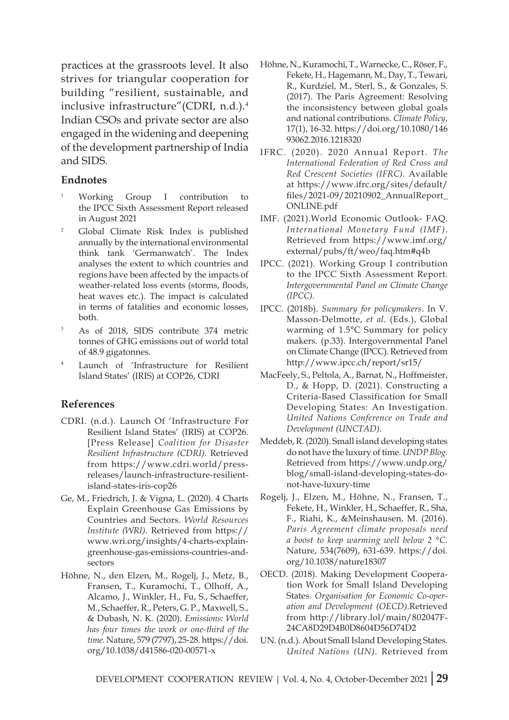practices at the grassroots level. It also strives for triangular cooperation for building "resilient, sustainable, and inclusive infrastructure"(CDRI, n.d.).<sup>4</sup> Indian CSOs and private sector are also engaged in the widening and deepening of the development partnership of India and SIDS.

#### **Endnotes**

- <sup>1</sup> Working Group I contribution to the IPCC Sixth Assessment Report released in August 2021
- <sup>2</sup> Global Climate Risk Index is published annually by the international environmental think tank 'Germanwatch'. The Index analyses the extent to which countries and regions have been affected by the impacts of weather-related loss events (storms, floods, heat waves etc.). The impact is calculated in terms of fatalities and economic losses, both.
- <sup>3</sup> As of 2018, SIDS contribute 374 metric tonnes of GHG emissions out of world total of 48.9 gigatonnes.
- Launch of 'Infrastructure for Resilient Island States' (IRIS) at COP26, CDRI

#### **References**

- CDRI. (n.d.). Launch Of 'Infrastructure For Resilient Island States' (IRIS) at COP26. [Press Release] *Coalition for Disaster Resilient Infrastructure (CDRI).* Retrieved from https://www.cdri.world/pressreleases/launch-infrastructure-resilientisland-states-iris-cop26
- Ge, M., Friedrich, J. & Vigna, L. (2020). 4 Charts Explain Greenhouse Gas Emissions by Countries and Sectors. *World Resources Institute (WRI)*. Retrieved from https:// www.wri.org/insights/4-charts-explaingreenhouse-gas-emissions-countries-andsectors
- Höhne, N., den Elzen, M., Rogelj, J., Metz, B., Fransen, T., Kuramochi, T., Olhoff, A., Alcamo, J., Winkler, H., Fu, S., Schaeffer, M., Schaeffer, R., Peters, G. P., Maxwell, S., & Dubash, N. K. (2020). *Emissions: World has four times the work or one-third of the time*. Nature, 579 (7797), 25-28. https://doi. org/10.1038/d41586-020-00571-x
- Höhne, N., Kuramochi, T., Warnecke, C., Röser, F., Fekete, H., Hagemann, M., Day, T., Tewari, R., Kurdziel, M., Sterl, S., & Gonzales, S. (2017). The Paris Agreement: Resolving the inconsistency between global goals and national contributions. *Climate Policy*, 17(1), 16-32. https://doi.org/10.1080/146 93062.2016.1218320
- IFRC. (2020). 2020 Annual Report. *The International Federation of Red Cross and Red Crescent Societies (IFRC).* Available at https://www.ifrc.org/sites/default/ files/2021-09/20210902\_AnnualReport\_ ONLINE.pdf
- IMF. (2021).World Economic Outlook- FAQ. *International Monetary Fund (IMF)*. Retrieved from https://www.imf.org/ external/pubs/ft/weo/faq.htm#q4b
- IPCC. (2021). Working Group I contribution to the IPCC Sixth Assessment Report. *Intergovernmental Panel on Climate Change (IPCC).*
- IPCC. (2018b). *Summary for policymakers*. In V. Masson-Delmotte, *et al*. (Eds.), Global warming of 1.5°C Summary for policy makers. (p.33). Intergovernmental Panel on Climate Change (IPCC). Retrieved from http://www.ipcc.ch/report/sr15/
- MacFeely, S., Peltola, A., Barnat, N., Hoffmeister, D., & Hopp, D. (2021). Constructing a Criteria-Based Classification for Small Developing States: An Investigation. *United Nations Conference on Trade and Development (UNCTAD).*
- Meddeb, R. (2020). Small island developing states do not have the luxury of time. *UNDP Blog.*  Retrieved from https://www.undp.org/ blog/small-island-developing-states-donot-have-luxury-time
- Rogelj, J., Elzen, M., Höhne, N., Fransen, T., Fekete, H., Winkler, H., Schaeffer, R., Sha, F., Riahi, K., &Meinshausen, M. (2016). *Paris Agreement climate proposals need a boost to keep warming well below 2 °C*. Nature, 534(7609), 631-639. https://doi. org/10.1038/nature18307
- OECD. (2018). Making Development Cooperation Work for Small Island Developing States. *Organisation for Economic Co-operation and Development (OECD).*Retrieved from http://library.lol/main/802047F-24CA8D29D4B0D8604D56D74D2
- UN. (n.d.). About Small Island Developing States. *United Nations (UN).* Retrieved from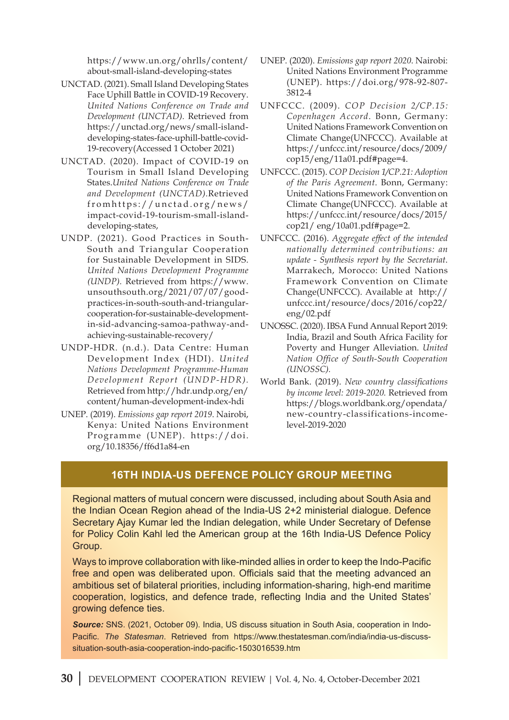https://www.un.org/ohrlls/content/ about-small-island-developing-states

- UNCTAD. (2021). Small Island Developing States Face Uphill Battle in COVID-19 Recovery. *United Nations Conference on Trade and Development (UNCTAD).* Retrieved from https://unctad.org/news/small-islanddeveloping-states-face-uphill-battle-covid-19-recovery(Accessed 1 October 2021)
- UNCTAD. (2020). Impact of COVID-19 on Tourism in Small Island Developing States.*United Nations Conference on Trade and Development (UNCTAD).*Retrieved fromhttps://unctad.org/news/ impact-covid-19-tourism-small-islanddeveloping-states,
- UNDP. (2021). Good Practices in South-South and Triangular Cooperation for Sustainable Development in SIDS. *United Nations Development Programme (UNDP).* Retrieved from https://www. unsouthsouth.org/2021/07/07/goodpractices-in-south-south-and-triangularcooperation-for-sustainable-developmentin-sid-advancing-samoa-pathway-andachieving-sustainable-recovery/
- UNDP-HDR. (n.d.). Data Centre: Human Development Index (HDI). *United Nations Development Programme-Human Development Report (UNDP-HDR).* Retrieved from http://hdr.undp.org/en/ content/human-development-index-hdi
- UNEP. (2019). *Emissions gap report 2019*. Nairobi, Kenya: United Nations Environment Programme (UNEP). https://doi. org/10.18356/ff6d1a84-en
- UNEP. (2020). *Emissions gap report 2020*. Nairobi: United Nations Environment Programme (UNEP). https://doi.org/978-92-807- 3812-4
- UNFCCC. (2009). *COP Decision 2/CP.15: Copenhagen Accord*. Bonn, Germany: United Nations Framework Convention on Climate Change(UNFCCC). Available at https://unfccc.int/resource/docs/2009/ cop15/eng/11a01.pdf#page=4.
- UNFCCC. (2015). *COP Decision 1/CP.21: Adoption of the Paris Agreement*. Bonn, Germany: United Nations Framework Convention on Climate Change(UNFCCC). Available at https://unfccc.int/resource/docs/2015/ cop21/ eng/10a01.pdf#page=2.
- UNFCCC. (2016). *Aggregate effect of the intended nationally determined contributions: an update - Synthesis report by the Secretariat*. Marrakech, Morocco: United Nations Framework Convention on Climate Change(UNFCCC). Available at http:// unfccc.int/resource/docs/2016/cop22/ eng/02.pdf
- UNOSSC. (2020). IBSA Fund Annual Report 2019: India, Brazil and South Africa Facility for Poverty and Hunger Alleviation. *United Nation Office of South-South Cooperation (UNOSSC).*
- World Bank. (2019). *New country classifications by income level: 2019-2020.* Retrieved from https://blogs.worldbank.org/opendata/ new-country-classifications-incomelevel-2019-2020

#### **16th India-US Defence Policy Group Meeting**

Regional matters of mutual concern were discussed, including about South Asia and the Indian Ocean Region ahead of the India-US 2+2 ministerial dialogue. Defence Secretary Ajay Kumar led the Indian delegation, while Under Secretary of Defense for Policy Colin Kahl led the American group at the 16th India-US Defence Policy Group.

Ways to improve collaboration with like-minded allies in order to keep the Indo-Pacific free and open was deliberated upon. Officials said that the meeting advanced an ambitious set of bilateral priorities, including information-sharing, high-end maritime cooperation, logistics, and defence trade, reflecting India and the United States' growing defence ties.

*Source:* SNS. (2021, October 09). India, US discuss situation in South Asia, cooperation in Indo-Pacific. *The Statesman*. Retrieved from https://www.thestatesman.com/india/india-us-discusssituation-south-asia-cooperation-indo-pacific-1503016539.htm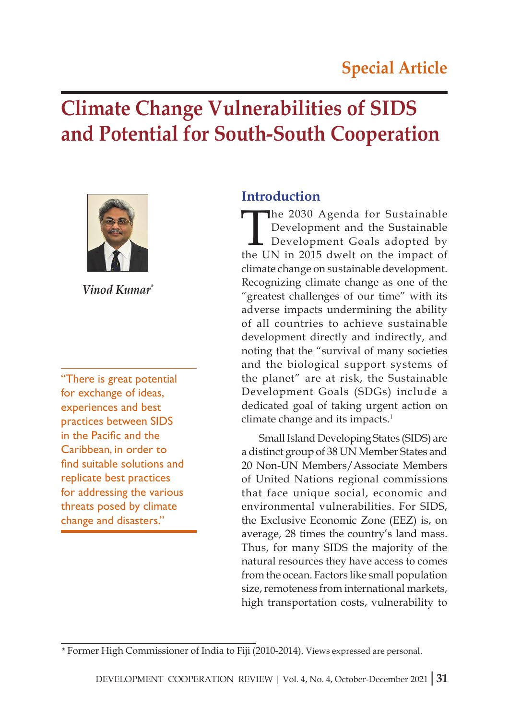# **Climate Change Vulnerabilities of SIDS and Potential for South-South Cooperation**



*Vinod Kumar\**

"There is great potential for exchange of ideas, experiences and best practices between SIDS in the Pacific and the Caribbean, in order to find suitable solutions and replicate best practices for addressing the various threats posed by climate change and disasters."

# **Introduction**

The 2030 Agenda for Sustainable<br>Development and the Sustainable<br>Development Goals adopted by<br>the UN in 2015 dwelt on the impact of Development and the Sustainable Development Goals adopted by the UN in 2015 dwelt on the impact of climate change on sustainable development. Recognizing climate change as one of the "greatest challenges of our time" with its adverse impacts undermining the ability of all countries to achieve sustainable development directly and indirectly, and noting that the "survival of many societies and the biological support systems of the planet" are at risk, the Sustainable Development Goals (SDGs) include a dedicated goal of taking urgent action on climate change and its impacts.<sup>1</sup>

Small Island Developing States (SIDS) are a distinct group of 38 UN Member States and 20 Non-UN Members/Associate Members of United Nations regional commissions that face unique social, economic and environmental vulnerabilities. For SIDS, the Exclusive Economic Zone (EEZ) is, on average, 28 times the country's land mass. Thus, for many SIDS the majority of the natural resources they have access to comes from the ocean. Factors like small population size, remoteness from international markets, high transportation costs, vulnerability to

<sup>\*</sup> Former High Commissioner of India to Fiji (2010-2014). Views expressed are personal.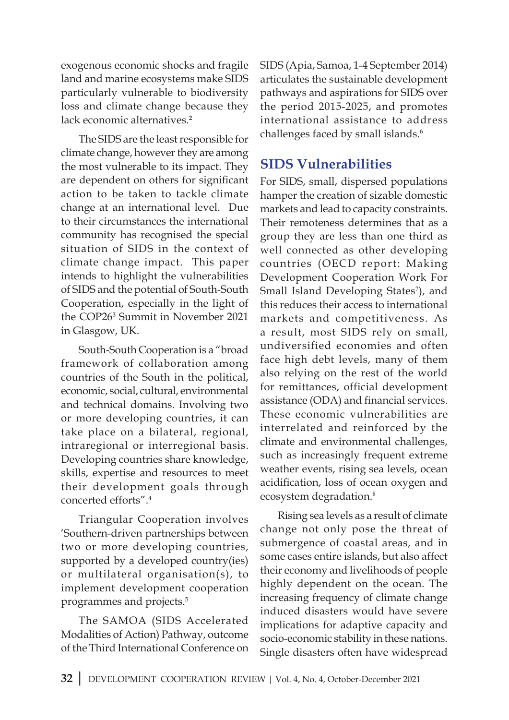exogenous economic shocks and fragile land and marine ecosystems make SIDS particularly vulnerable to biodiversity loss and climate change because they lack economic alternatives.**<sup>2</sup>**

The SIDS are the least responsible for climate change, however they are among the most vulnerable to its impact. They are dependent on others for significant action to be taken to tackle climate change at an international level. Due to their circumstances the international community has recognised the special situation of SIDS in the context of climate change impact. This paper intends to highlight the vulnerabilities of SIDS and the potential of South-South Cooperation, especially in the light of the COP26<sup>3</sup> Summit in November 2021 in Glasgow, UK.

South-South Cooperation is a "broad framework of collaboration among countries of the South in the political, economic, social, cultural, environmental and technical domains. Involving two or more developing countries, it can take place on a bilateral, regional, intraregional or interregional basis. Developing countries share knowledge, skills, expertise and resources to meet their development goals through concerted efforts".<sup>4</sup>

Triangular Cooperation involves 'Southern-driven partnerships between two or more developing countries, supported by a developed country(ies) or multilateral organisation(s), to implement development cooperation programmes and projects.5

The SAMOA (SIDS Accelerated Modalities of Action) Pathway, outcome of the Third International Conference on SIDS (Apia, Samoa, 1-4 September 2014) articulates the sustainable development pathways and aspirations for SIDS over the period 2015-2025, and promotes international assistance to address challenges faced by small islands.<sup>6</sup>

# **SIDS Vulnerabilities**

For SIDS, small, dispersed populations hamper the creation of sizable domestic markets and lead to capacity constraints. Their remoteness determines that as a group they are less than one third as well connected as other developing countries (OECD report: Making Development Cooperation Work For Small Island Developing States<sup>7</sup>), and this reduces their access to international markets and competitiveness. As a result, most SIDS rely on small, undiversified economies and often face high debt levels, many of them also relying on the rest of the world for remittances, official development assistance (ODA) and financial services. These economic vulnerabilities are interrelated and reinforced by the climate and environmental challenges, such as increasingly frequent extreme weather events, rising sea levels, ocean acidification, loss of ocean oxygen and ecosystem degradation.<sup>8</sup>

Rising sea levels as a result of climate change not only pose the threat of submergence of coastal areas, and in some cases entire islands, but also affect their economy and livelihoods of people highly dependent on the ocean. The increasing frequency of climate change induced disasters would have severe implications for adaptive capacity and socio-economic stability in these nations. Single disasters often have widespread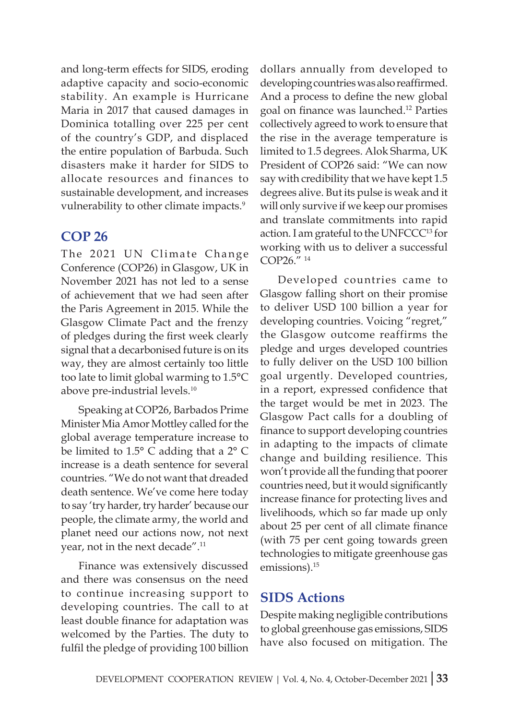and long-term effects for SIDS, eroding adaptive capacity and socio-economic stability. An example is Hurricane Maria in 2017 that caused damages in Dominica totalling over 225 per cent of the country's GDP, and displaced the entire population of Barbuda. Such disasters make it harder for SIDS to allocate resources and finances to sustainable development, and increases vulnerability to other climate impacts.<sup>9</sup>

#### **COP 26**

The 2021 UN Climate Change Conference (COP26) in Glasgow, UK in November 2021 has not led to a sense of achievement that we had seen after the Paris Agreement in 2015. While the Glasgow Climate Pact and the frenzy of pledges during the first week clearly signal that a decarbonised future is on its way, they are almost certainly too little too late to limit global warming to 1.5°C above pre-industrial levels.<sup>10</sup>

Speaking at COP26, Barbados Prime Minister Mia Amor Mottley called for the global average temperature increase to be limited to 1.5° C adding that a 2° C increase is a death sentence for several countries. "We do not want that dreaded death sentence. We've come here today to say 'try harder, try harder' because our people, the climate army, the world and planet need our actions now, not next year, not in the next decade".<sup>11</sup>

Finance was extensively discussed and there was consensus on the need to continue increasing support to developing countries. The call to at least double finance for adaptation was welcomed by the Parties. The duty to fulfil the pledge of providing 100 billion

dollars annually from developed to developing countries was also reaffirmed. And a process to define the new global goal on finance was launched.12 Parties collectively agreed to work to ensure that the rise in the average temperature is limited to 1.5 degrees. Alok Sharma, UK President of COP26 said: "We can now say with credibility that we have kept 1.5 degrees alive. But its pulse is weak and it will only survive if we keep our promises and translate commitments into rapid action. I am grateful to the UNFCCC<sup>13</sup> for working with us to deliver a successful COP26." 14

Developed countries came to Glasgow falling short on their promise to deliver USD 100 billion a year for developing countries. Voicing "regret," the Glasgow outcome reaffirms the pledge and urges developed countries to fully deliver on the USD 100 billion goal urgently. Developed countries, in a report, expressed confidence that the target would be met in 2023. The Glasgow Pact calls for a doubling of finance to support developing countries in adapting to the impacts of climate change and building resilience. This won't provide all the funding that poorer countries need, but it would significantly increase finance for protecting lives and livelihoods, which so far made up only about 25 per cent of all climate finance (with 75 per cent going towards green technologies to mitigate greenhouse gas emissions).<sup>15</sup>

#### **SIDS Actions**

Despite making negligible contributions to global greenhouse gas emissions, SIDS have also focused on mitigation. The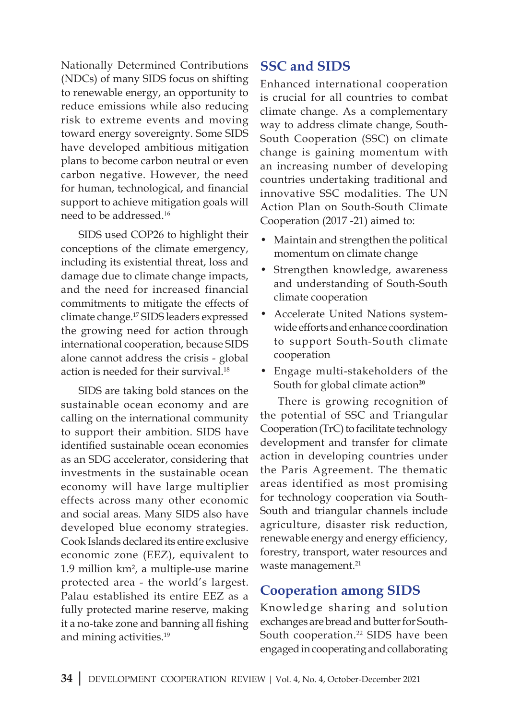Nationally Determined Contributions (NDCs) of many SIDS focus on shifting to renewable energy, an opportunity to reduce emissions while also reducing risk to extreme events and moving toward energy sovereignty. Some SIDS have developed ambitious mitigation plans to become carbon neutral or even carbon negative. However, the need for human, technological, and financial support to achieve mitigation goals will need to be addressed.<sup>16</sup>

SIDS used COP26 to highlight their conceptions of the climate emergency, including its existential threat, loss and damage due to climate change impacts, and the need for increased financial commitments to mitigate the effects of climate change.<sup>17</sup> SIDS leaders expressed the growing need for action through international cooperation, because SIDS alone cannot address the crisis - global action is needed for their survival.<sup>18</sup>

SIDS are taking bold stances on the sustainable ocean economy and are calling on the international community to support their ambition. SIDS have identified sustainable ocean economies as an SDG accelerator, considering that investments in the sustainable ocean economy will have large multiplier effects across many other economic and social areas. Many SIDS also have developed blue economy strategies. Cook Islands declared its entire exclusive economic zone (EEZ), equivalent to 1.9 million km², a multiple-use marine protected area - the world's largest. Palau established its entire EEZ as a fully protected marine reserve, making it a no-take zone and banning all fishing and mining activities.<sup>19</sup>

# **SSC and SIDS**

Enhanced international cooperation is crucial for all countries to combat climate change. As a complementary way to address climate change, South-South Cooperation (SSC) on climate change is gaining momentum with an increasing number of developing countries undertaking traditional and innovative SSC modalities. The UN Action Plan on South-South Climate Cooperation (2017 -21) aimed to:

- Maintain and strengthen the political momentum on climate change
- Strengthen knowledge, awareness and understanding of South-South climate cooperation
- Accelerate United Nations systemwide efforts and enhance coordination to support South-South climate cooperation
- Engage multi-stakeholders of the South for global climate action<sup>20</sup>

There is growing recognition of the potential of SSC and Triangular Cooperation (TrC) to facilitate technology development and transfer for climate action in developing countries under the Paris Agreement. The thematic areas identified as most promising for technology cooperation via South-South and triangular channels include agriculture, disaster risk reduction, renewable energy and energy efficiency, forestry, transport, water resources and waste management.<sup>21</sup>

# **Cooperation among SIDS**

Knowledge sharing and solution exchanges are bread and butter for South-South cooperation.<sup>22</sup> SIDS have been engaged in cooperating and collaborating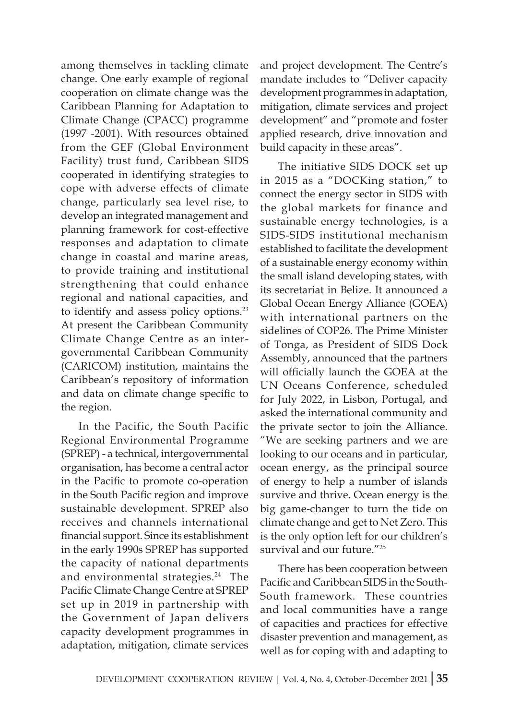among themselves in tackling climate change. One early example of regional cooperation on climate change was the Caribbean Planning for Adaptation to Climate Change (CPACC) programme (1997 -2001). With resources obtained from the GEF (Global Environment Facility) trust fund, Caribbean SIDS cooperated in identifying strategies to cope with adverse effects of climate change, particularly sea level rise, to develop an integrated management and planning framework for cost-effective responses and adaptation to climate change in coastal and marine areas, to provide training and institutional strengthening that could enhance regional and national capacities, and to identify and assess policy options.<sup>23</sup> At present the Caribbean Community Climate Change Centre as an intergovernmental Caribbean Community (CARICOM) institution, maintains the Caribbean's repository of information and data on climate change specific to the region.

In the Pacific, the South Pacific Regional Environmental Programme (SPREP) - a technical, intergovernmental organisation, has become a central actor in the Pacific to promote co-operation in the South Pacific region and improve sustainable development. SPREP also receives and channels international financial support. Since its establishment in the early 1990s SPREP has supported the capacity of national departments and environmental strategies.<sup>24</sup> The Pacific Climate Change Centre at SPREP set up in 2019 in partnership with the Government of Japan delivers capacity development programmes in adaptation, mitigation, climate services and project development. The Centre's mandate includes to "Deliver capacity development programmes in adaptation, mitigation, climate services and project development" and "promote and foster applied research, drive innovation and build capacity in these areas".

The initiative SIDS DOCK set up in 2015 as a "DOCKing station," to connect the energy sector in SIDS with the global markets for finance and sustainable energy technologies, is a SIDS-SIDS institutional mechanism established to facilitate the development of a sustainable energy economy within the small island developing states, with its secretariat in Belize. It announced a Global Ocean Energy Alliance (GOEA) with international partners on the sidelines of COP26. The Prime Minister of Tonga, as President of SIDS Dock Assembly, announced that the partners will officially launch the GOEA at the UN Oceans Conference, scheduled for July 2022, in Lisbon, Portugal, and asked the international community and the private sector to join the Alliance. "We are seeking partners and we are looking to our oceans and in particular, ocean energy, as the principal source of energy to help a number of islands survive and thrive. Ocean energy is the big game-changer to turn the tide on climate change and get to Net Zero. This is the only option left for our children's survival and our future."<sup>25</sup>

There has been cooperation between Pacific and Caribbean SIDS in the South-South framework. These countries and local communities have a range of capacities and practices for effective disaster prevention and management, as well as for coping with and adapting to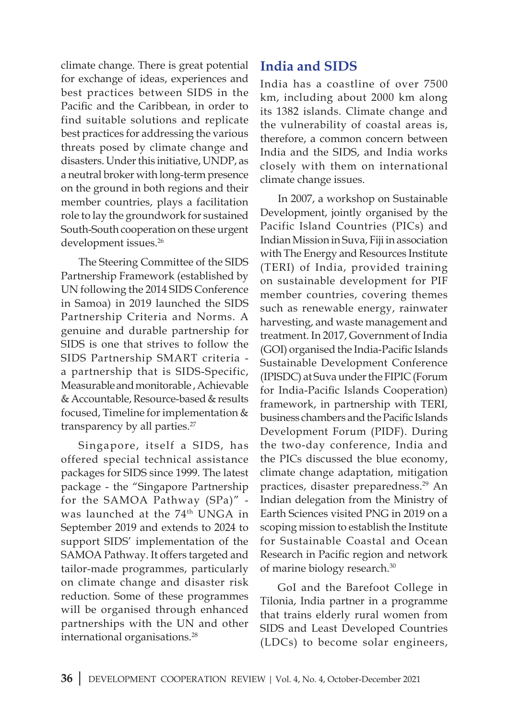climate change. There is great potential for exchange of ideas, experiences and best practices between SIDS in the Pacific and the Caribbean, in order to find suitable solutions and replicate best practices for addressing the various threats posed by climate change and disasters. Under this initiative, UNDP, as a neutral broker with long-term presence on the ground in both regions and their member countries, plays a facilitation role to lay the groundwork for sustained South-South cooperation on these urgent development issues.<sup>26</sup>

The Steering Committee of the SIDS Partnership Framework (established by UN following the 2014 SIDS Conference in Samoa) in 2019 launched the SIDS Partnership Criteria and Norms. A genuine and durable partnership for SIDS is one that strives to follow the SIDS Partnership SMART criteria a partnership that is SIDS-Specific, Measurable and monitorable , Achievable & Accountable, Resource-based & results focused, Timeline for implementation & transparency by all parties.<sup>27</sup>

Singapore, itself a SIDS, has offered special technical assistance packages for SIDS since 1999. The latest package - the "Singapore Partnership for the SAMOA Pathway (SPa)" was launched at the 74<sup>th</sup> UNGA in September 2019 and extends to 2024 to support SIDS' implementation of the SAMOA Pathway. It offers targeted and tailor-made programmes, particularly on climate change and disaster risk reduction. Some of these programmes will be organised through enhanced partnerships with the UN and other international organisations.<sup>28</sup>

# **India and SIDS**

India has a coastline of over 7500 km, including about 2000 km along its 1382 islands. Climate change and the vulnerability of coastal areas is, therefore, a common concern between India and the SIDS, and India works closely with them on international climate change issues.

In 2007, a workshop on Sustainable Development, jointly organised by the Pacific Island Countries (PICs) and Indian Mission in Suva, Fiji in association with The Energy and Resources Institute (TERI) of India, provided training on sustainable development for PIF member countries, covering themes such as renewable energy, rainwater harvesting, and waste management and treatment. In 2017, Government of India (GOI) organised the India-Pacific Islands Sustainable Development Conference (IPISDC) at Suva under the FIPIC (Forum for India-Pacific Islands Cooperation) framework, in partnership with TERI, business chambers and the Pacific Islands Development Forum (PIDF). During the two-day conference, India and the PICs discussed the blue economy, climate change adaptation, mitigation practices, disaster preparedness.<sup>29</sup> An Indian delegation from the Ministry of Earth Sciences visited PNG in 2019 on a scoping mission to establish the Institute for Sustainable Coastal and Ocean Research in Pacific region and network of marine biology research.30

GoI and the Barefoot College in Tilonia, India partner in a programme that trains elderly rural women from SIDS and Least Developed Countries (LDCs) to become solar engineers,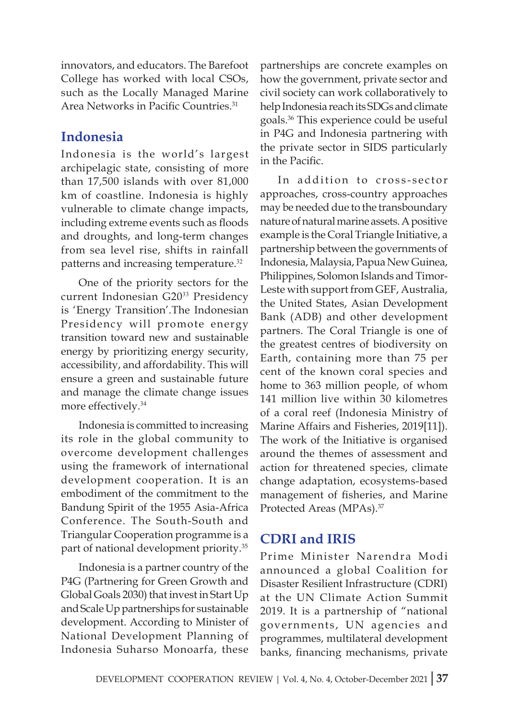innovators, and educators. The Barefoot College has worked with local CSOs, such as the Locally Managed Marine Area Networks in Pacific Countries.<sup>31</sup>

# **Indonesia**

Indonesia is the world's largest archipelagic state, consisting of more than 17,500 islands with over 81,000 km of coastline. Indonesia is highly vulnerable to climate change impacts, including extreme events such as floods and droughts, and long-term changes from sea level rise, shifts in rainfall patterns and increasing temperature.<sup>32</sup>

One of the priority sectors for the current Indonesian G20<sup>33</sup> Presidency is 'Energy Transition'.The Indonesian Presidency will promote energy transition toward new and sustainable energy by prioritizing energy security, accessibility, and affordability. This will ensure a green and sustainable future and manage the climate change issues more effectively.<sup>34</sup>

Indonesia is committed to increasing its role in the global community to overcome development challenges using the framework of international development cooperation. It is an embodiment of the commitment to the Bandung Spirit of the 1955 Asia-Africa Conference. The South-South and Triangular Cooperation programme is a part of national development priority.<sup>35</sup>

Indonesia is a partner country of the P4G (Partnering for Green Growth and Global Goals 2030) that invest in Start Up and Scale Up partnerships for sustainable development. According to Minister of National Development Planning of Indonesia Suharso Monoarfa, these

partnerships are concrete examples on how the government, private sector and civil society can work collaboratively to help Indonesia reach its SDGs and climate goals.<sup>36</sup> This experience could be useful in P4G and Indonesia partnering with the private sector in SIDS particularly in the Pacific.

In addition to cross-sector approaches, cross-country approaches may be needed due to the transboundary nature of natural marine assets. A positive example is the Coral Triangle Initiative, a partnership between the governments of Indonesia, Malaysia, Papua New Guinea, Philippines, Solomon Islands and Timor-Leste with support from GEF, Australia, the United States, Asian Development Bank (ADB) and other development partners. The Coral Triangle is one of the greatest centres of biodiversity on Earth, containing more than 75 per cent of the known coral species and home to 363 million people, of whom 141 million live within 30 kilometres of a coral reef (Indonesia Ministry of Marine Affairs and Fisheries, 2019[11]). The work of the Initiative is organised around the themes of assessment and action for threatened species, climate change adaptation, ecosystems-based management of fisheries, and Marine Protected Areas (MPAs).37

# **CDRI and IRIS**

Prime Minister Narendra Modi announced a global Coalition for Disaster Resilient Infrastructure (CDRI) at the UN Climate Action Summit 2019. It is a partnership of "national governments, UN agencies and programmes, multilateral development banks, financing mechanisms, private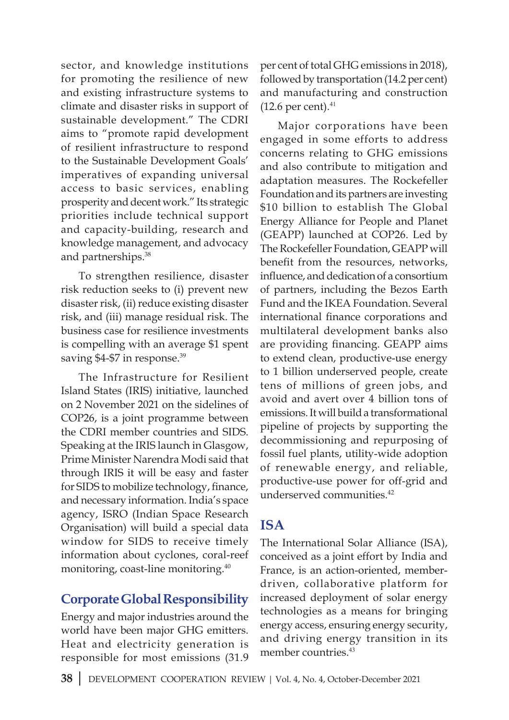sector, and knowledge institutions for promoting the resilience of new and existing infrastructure systems to climate and disaster risks in support of sustainable development." The CDRI aims to "promote rapid development of resilient infrastructure to respond to the Sustainable Development Goals' imperatives of expanding universal access to basic services, enabling prosperity and decent work." Its strategic priorities include technical support and capacity-building, research and knowledge management, and advocacy and partnerships.<sup>38</sup>

To strengthen resilience, disaster risk reduction seeks to (i) prevent new disaster risk, (ii) reduce existing disaster risk, and (iii) manage residual risk. The business case for resilience investments is compelling with an average \$1 spent saving \$4-\$7 in response.<sup>39</sup>

The Infrastructure for Resilient Island States (IRIS) initiative, launched on 2 November 2021 on the sidelines of COP26, is a joint programme between the CDRI member countries and SIDS. Speaking at the IRIS launch in Glasgow, Prime Minister Narendra Modi said that through IRIS it will be easy and faster for SIDS to mobilize technology, finance, and necessary information. India's space agency, ISRO (Indian Space Research Organisation) will build a special data window for SIDS to receive timely information about cyclones, coral-reef monitoring, coast-line monitoring.<sup>40</sup>

# **Corporate Global Responsibility**

Energy and major industries around the world have been major GHG emitters. Heat and electricity generation is responsible for most emissions (31.9 per cent of total GHG emissions in 2018), followed by transportation (14.2 per cent) and manufacturing and construction  $(12.6 \text{ per cent}).$ <sup>41</sup>

Major corporations have been engaged in some efforts to address concerns relating to GHG emissions and also contribute to mitigation and adaptation measures. The Rockefeller Foundation and its partners are investing \$10 billion to establish The Global Energy Alliance for People and Planet (GEAPP) launched at COP26. Led by The Rockefeller Foundation, GEAPP will benefit from the resources, networks, influence, and dedication of a consortium of partners, including the Bezos Earth Fund and the IKEA Foundation. Several international finance corporations and multilateral development banks also are providing financing. GEAPP aims to extend clean, productive-use energy to 1 billion underserved people, create tens of millions of green jobs, and avoid and avert over 4 billion tons of emissions. It will build a transformational pipeline of projects by supporting the decommissioning and repurposing of fossil fuel plants, utility-wide adoption of renewable energy, and reliable, productive-use power for off-grid and underserved communities.<sup>42</sup>

#### **ISA**

The International Solar Alliance (ISA), conceived as a joint effort by India and France, is an action-oriented, memberdriven, collaborative platform for increased deployment of solar energy technologies as a means for bringing energy access, ensuring energy security, and driving energy transition in its member countries.<sup>43</sup>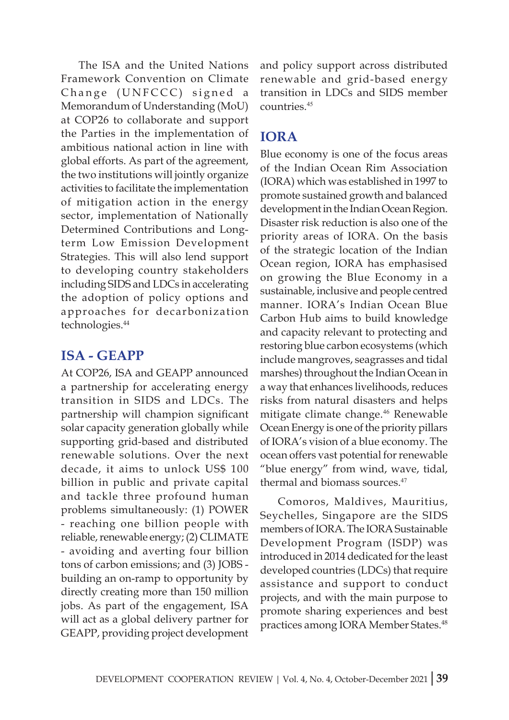The ISA and the United Nations Framework Convention on Climate Change (UNFCCC) signed a Memorandum of Understanding (MoU) at COP26 to collaborate and support the Parties in the implementation of ambitious national action in line with global efforts. As part of the agreement, the two institutions will jointly organize activities to facilitate the implementation of mitigation action in the energy sector, implementation of Nationally Determined Contributions and Longterm Low Emission Development Strategies. This will also lend support to developing country stakeholders including SIDS and LDCs in accelerating the adoption of policy options and approaches for decarbonization technologies.<sup>44</sup>

# **ISA - GEAPP**

At COP26, ISA and GEAPP announced a partnership for accelerating energy transition in SIDS and LDCs. The partnership will champion significant solar capacity generation globally while supporting grid-based and distributed renewable solutions. Over the next decade, it aims to unlock US\$ 100 billion in public and private capital and tackle three profound human problems simultaneously: (1) POWER - reaching one billion people with reliable, renewable energy; (2) CLIMATE - avoiding and averting four billion tons of carbon emissions; and (3) JOBS building an on-ramp to opportunity by directly creating more than 150 million jobs. As part of the engagement, ISA will act as a global delivery partner for GEAPP, providing project development and policy support across distributed renewable and grid-based energy transition in LDCs and SIDS member countries.<sup>45</sup>

# **IORA**

Blue economy is one of the focus areas of the Indian Ocean Rim Association (IORA) which was established in 1997 to promote sustained growth and balanced development in the Indian Ocean Region. Disaster risk reduction is also one of the priority areas of IORA. On the basis of the strategic location of the Indian Ocean region, IORA has emphasised on growing the Blue Economy in a sustainable, inclusive and people centred manner. IORA's Indian Ocean Blue Carbon Hub aims to build knowledge and capacity relevant to protecting and restoring blue carbon ecosystems (which include mangroves, seagrasses and tidal marshes) throughout the Indian Ocean in a way that enhances livelihoods, reduces risks from natural disasters and helps mitigate climate change.<sup>46</sup> Renewable Ocean Energy is one of the priority pillars of IORA's vision of a blue economy. The ocean offers vast potential for renewable "blue energy" from wind, wave, tidal, thermal and biomass sources.<sup>47</sup>

Comoros, Maldives, Mauritius, Seychelles, Singapore are the SIDS members of IORA. The IORA Sustainable Development Program (ISDP) was introduced in 2014 dedicated for the least developed countries (LDCs) that require assistance and support to conduct projects, and with the main purpose to promote sharing experiences and best practices among IORA Member States.<sup>48</sup>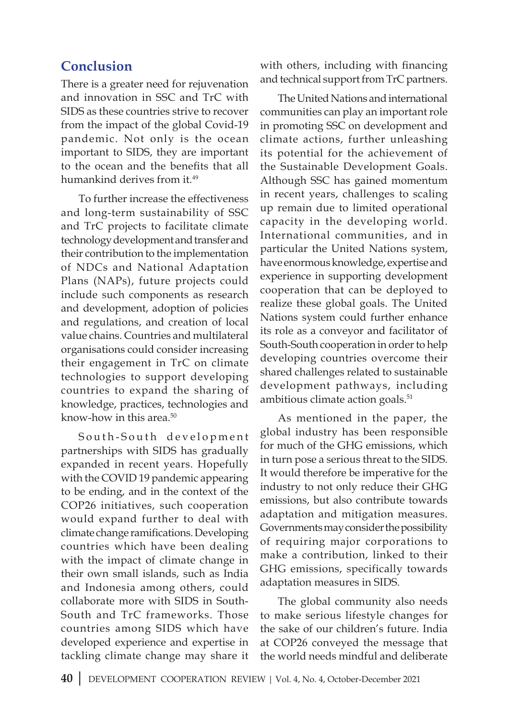# **Conclusion**

There is a greater need for rejuvenation and innovation in SSC and TrC with SIDS as these countries strive to recover from the impact of the global Covid-19 pandemic. Not only is the ocean important to SIDS, they are important to the ocean and the benefits that all humankind derives from it.<sup>49</sup>

To further increase the effectiveness and long-term sustainability of SSC and TrC projects to facilitate climate technology development and transfer and their contribution to the implementation of NDCs and National Adaptation Plans (NAPs), future projects could include such components as research and development, adoption of policies and regulations, and creation of local value chains. Countries and multilateral organisations could consider increasing their engagement in TrC on climate technologies to support developing countries to expand the sharing of knowledge, practices, technologies and know-how in this area.<sup>50</sup>

South-South development partnerships with SIDS has gradually expanded in recent years. Hopefully with the COVID 19 pandemic appearing to be ending, and in the context of the COP26 initiatives, such cooperation would expand further to deal with climate change ramifications. Developing countries which have been dealing with the impact of climate change in their own small islands, such as India and Indonesia among others, could collaborate more with SIDS in South-South and TrC frameworks. Those countries among SIDS which have developed experience and expertise in tackling climate change may share it with others, including with financing and technical support from TrC partners.

The United Nations and international communities can play an important role in promoting SSC on development and climate actions, further unleashing its potential for the achievement of the Sustainable Development Goals. Although SSC has gained momentum in recent years, challenges to scaling up remain due to limited operational capacity in the developing world. International communities, and in particular the United Nations system, have enormous knowledge, expertise and experience in supporting development cooperation that can be deployed to realize these global goals. The United Nations system could further enhance its role as a conveyor and facilitator of South-South cooperation in order to help developing countries overcome their shared challenges related to sustainable development pathways, including ambitious climate action goals.<sup>51</sup>

As mentioned in the paper, the global industry has been responsible for much of the GHG emissions, which in turn pose a serious threat to the SIDS. It would therefore be imperative for the industry to not only reduce their GHG emissions, but also contribute towards adaptation and mitigation measures. Governments may consider the possibility of requiring major corporations to make a contribution, linked to their GHG emissions, specifically towards adaptation measures in SIDS.

The global community also needs to make serious lifestyle changes for the sake of our children's future. India at COP26 conveyed the message that the world needs mindful and deliberate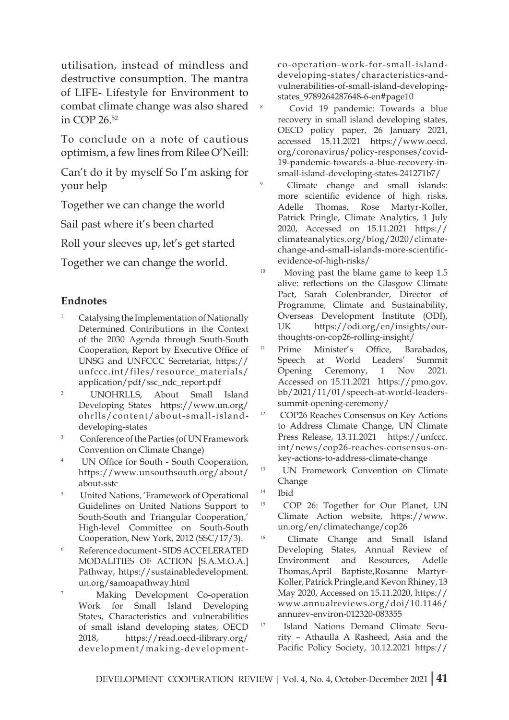utilisation, instead of mindless and destructive consumption. The mantra of LIFE- Lifestyle for Environment to combat climate change was also shared in COP 26.52

To conclude on a note of cautious optimism, a few lines from Rilee O'Neill:

Can't do it by myself So I'm asking for your help

Together we can change the world

Sail past where it's been charted

Roll your sleeves up, let's get started

Together we can change the world.

#### **Endnotes**

- <sup>1</sup> Catalysing the Implementation of Nationally Determined Contributions in the Context of the 2030 Agenda through South-South Cooperation, Report by Executive Office of UNSG and UNFCCC Secretariat, https:// unfccc.int/files/resource\_materials/ application/pdf/ssc\_ndc\_report.pdf
- <sup>2</sup> UNOHRLLS, About Small Island Developing States https://www.un.org/ ohrlls/content/about-small-islanddeveloping-states
- <sup>3</sup> Conference of the Parties (of UN Framework Convention on Climate Change)
- <sup>4</sup> UN Office for South South Cooperation, https://www.unsouthsouth.org/about/ about-sstc
- <sup>5</sup> United Nations, 'Framework of Operational Guidelines on United Nations Support to South-South and Triangular Cooperation,' High-level Committee on South-South Cooperation, New York, 2012 (SSC/17/3).
- <sup>6</sup> Reference document SIDS ACCELERATED MODALITIES OF ACTION [S.A.M.O.A.] Pathway, https://sustainabledevelopment. un.org/samoapathway.html
- <sup>7</sup> Making Development Co-operation Work for Small Island Developing States, Characteristics and vulnerabilities of small island developing states, OECD 2018, https://read.oecd-ilibrary.org/ development/making-development-

co-operation-work-for-small-islanddeveloping-states/characteristics-andvulnerabilities-of-small-island-developingstates\_9789264287648-6-en#page10

Covid 19 pandemic: Towards a blue recovery in small island developing states, OECD policy paper, 26 January 2021, accessed 15.11.2021 https://www.oecd. org/coronavirus/policy-responses/covid-19-pandemic-towards-a-blue-recovery-insmall-island-developing-states-241271b7/

Climate change and small islands: more scientific evidence of high risks, Adelle Thomas, Rose Martyr-Koller, Patrick Pringle, Climate Analytics, 1 July 2020, Accessed on 15.11.2021 https:// climateanalytics.org/blog/2020/climatechange-and-small-islands-more-scientificevidence-of-high-risks/

<sup>10</sup> Moving past the blame game to keep 1.5 alive: reflections on the Glasgow Climate Pact, Sarah Colenbrander, Director of Programme, Climate and Sustainability, Overseas Development Institute (ODI), UK https://odi.org/en/insights/ourthoughts-on-cop26-rolling-insight/

<sup>11</sup> Prime Minister's Office, Barabados, Speech at World Leaders' Summit Opening Ceremony, 1 Nov 2021. Accessed on 15.11.2021 https://pmo.gov. bb/2021/11/01/speech-at-world-leaderssummit-opening-ceremony/

<sup>12</sup> COP26 Reaches Consensus on Key Actions to Address Climate Change, UN Climate Press Release, 13.11.2021 https://unfccc. int/news/cop26-reaches-consensus-onkey-actions-to-address-climate-change

<sup>13</sup> UN Framework Convention on Climate Change

<sup>16</sup> Climate Change and Small Island Developing States, Annual Review of Environment and Resources, Adelle Thomas,April Baptiste,Rosanne Martyr-Koller, Patrick Pringle,and Kevon Rhiney, 13 May 2020, Accessed on 15.11.2020, https:// www.annualreviews.org/doi/10.1146/ annurev-environ-012320-083355

<sup>17</sup> Island Nations Demand Climate Security – Athaulla A Rasheed, Asia and the Pacific Policy Society, 10.12.2021 https://

<sup>14</sup> Ibid

<sup>15</sup> COP 26: Together for Our Planet, UN Climate Action website, https://www. un.org/en/climatechange/cop26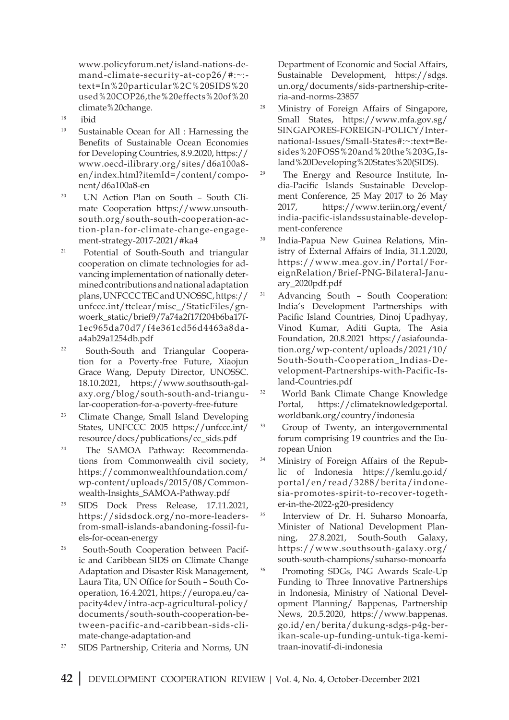www.policyforum.net/island-nations-demand-climate-security-at-cop26/#:~: text=In%20particular%2C%20SIDS%20 used%20COP26,the%20effects%20of%20 climate%20change.

- <sup>18</sup> ibid
- <sup>19</sup> Sustainable Ocean for All : Harnessing the Benefits of Sustainable Ocean Economies for Developing Countries, 8.9.2020, https:// www.oecd-ilibrary.org/sites/d6a100a8 en/index.html?itemId=/content/component/d6a100a8-en
- 20 UN Action Plan on South South Climate Cooperation https://www.unsouthsouth.org/south-south-cooperation-action-plan-for-climate-change-engagement-strategy-2017-2021/#ka4
- <sup>21</sup> Potential of South-South and triangular cooperation on climate technologies for advancing implementation of nationally determined contributions and national adaptation plans, UNFCCC TEC and UNOSSC, https:// unfccc.int/ttclear/misc\_/StaticFiles/gnwoerk\_static/brief9/7a74a2f17f204b6ba17f-1ec965da70d7/f4e361cd56d4463a8daa4ab29a1254db.pdf
- 22 South-South and Triangular Cooperation for a Poverty-free Future, Xiaojun Grace Wang, Deputy Director, UNOSSC. 18.10.2021, https://www.southsouth-galaxy.org/blog/south-south-and-triangular-cooperation-for-a-poverty-free-future
- <sup>23</sup> Climate Change, Small Island Developing States, UNFCCC 2005 https://unfccc.int/ resource/docs/publications/cc\_sids.pdf
- 24 The SAMOA Pathway: Recommendations from Commonwealth civil society, https://commonwealthfoundation.com/ wp-content/uploads/2015/08/Commonwealth-Insights\_SAMOA-Pathway.pdf
- <sup>25</sup> SIDS Dock Press Release, 17.11.2021, https://sidsdock.org/no-more-leadersfrom-small-islands-abandoning-fossil-fuels-for-ocean-energy
- 26 South-South Cooperation between Pacific and Caribbean SIDS on Climate Change Adaptation and Disaster Risk Management, Laura Tita, UN Office for South – South Cooperation, 16.4.2021, https://europa.eu/capacity4dev/intra-acp-agricultural-policy/ documents/south-south-cooperation-between-pacific-and-caribbean-sids-climate-change-adaptation-and
- <sup>27</sup> SIDS Partnership, Criteria and Norms, UN

Department of Economic and Social Affairs, Sustainable Development, https://sdgs. un.org/documents/sids-partnership-criteria-and-norms-23857

- <sup>28</sup> Ministry of Foreign Affairs of Singapore, Small States, https://www.mfa.gov.sg/ SINGAPORES-FOREIGN-POLICY/International-Issues/Small-States#:~:text=Besides%20FOSS%20and%20the%203G,Island%20Developing%20States%20(SIDS).
- 29 The Energy and Resource Institute, India-Pacific Islands Sustainable Development Conference, 25 May 2017 to 26 May 2017, https://www.teriin.org/event/ india-pacific-islandssustainable-development-conference
- <sup>30</sup> India-Papua New Guinea Relations, Ministry of External Affairs of India, 31.1.2020, https://www.mea.gov.in/Portal/ForeignRelation/Brief-PNG-Bilateral-January\_2020pdf.pdf
- <sup>31</sup> Advancing South South Cooperation: India's Development Partnerships with Pacific Island Countries, Dinoj Upadhyay, Vinod Kumar, Aditi Gupta, The Asia Foundation, 20.8.2021 https://asiafoundation.org/wp-content/uploads/2021/10/ South-South-Cooperation\_Indias-Development-Partnerships-with-Pacific-Island-Countries.pdf
- <sup>32</sup> World Bank Climate Change Knowledge Portal, https://climateknowledgeportal. worldbank.org/country/indonesia
- <sup>33</sup> Group of Twenty, an intergovernmental forum comprising 19 countries and the European Union
- <sup>34</sup> Ministry of Foreign Affairs of the Republic of Indonesia https://kemlu.go.id/ portal/en/read/3288/berita/indonesia-promotes-spirit-to-recover-together-in-the-2022-g20-presidency
- <sup>35</sup> Interview of Dr. H. Suharso Monoarfa, Minister of National Development Planning, 27.8.2021, South-South Galaxy, https://www.southsouth-galaxy.org/ south-south-champions/suharso-monoarfa
- <sup>36</sup> Promoting SDGs, P4G Awards Scale-Up Funding to Three Innovative Partnerships in Indonesia, Ministry of National Development Planning/ Bappenas, Partnership News, 20.5.2020, https://www.bappenas. go.id/en/berita/dukung-sdgs-p4g-berikan-scale-up-funding-untuk-tiga-kemitraan-inovatif-di-indonesia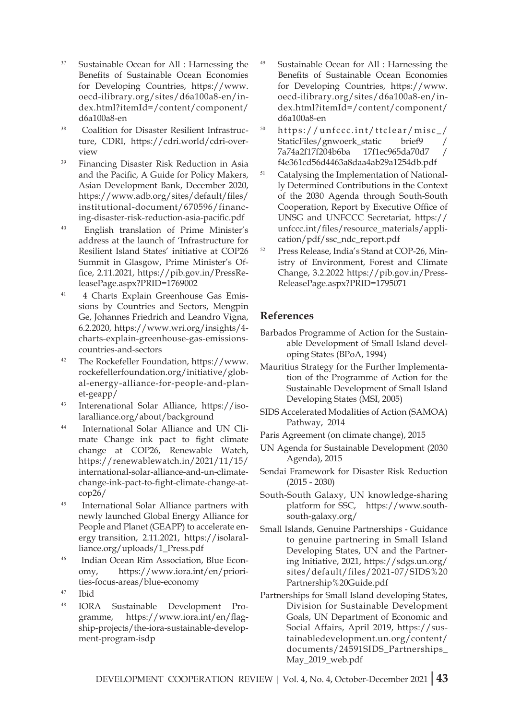- <sup>37</sup> Sustainable Ocean for All : Harnessing the Benefits of Sustainable Ocean Economies for Developing Countries, https://www. oecd-ilibrary.org/sites/d6a100a8-en/index.html?itemId=/content/component/ d6a100a8-en
- 38 Coalition for Disaster Resilient Infrastructure, CDRI, https://cdri.world/cdri-overview
- <sup>39</sup> Financing Disaster Risk Reduction in Asia and the Pacific, A Guide for Policy Makers, Asian Development Bank, December 2020, https://www.adb.org/sites/default/files/ institutional-document/670596/financing-disaster-risk-reduction-asia-pacific.pdf
- <sup>40</sup> English translation of Prime Minister's address at the launch of 'Infrastructure for Resilient Island States' initiative at COP26 Summit in Glasgow, Prime Minister's Office, 2.11.2021, https://pib.gov.in/PressReleasePage.aspx?PRID=1769002
- 41 4 Charts Explain Greenhouse Gas Emissions by Countries and Sectors, Mengpin Ge, Johannes Friedrich and Leandro Vigna, 6.2.2020, https://www.wri.org/insights/4 charts-explain-greenhouse-gas-emissionscountries-and-sectors
- <sup>42</sup> The Rockefeller Foundation, https://www. rockefellerfoundation.org/initiative/global-energy-alliance-for-people-and-planet-geapp/
- <sup>43</sup> Interenational Solar Alliance, https://isolaralliance.org/about/background
- 44 International Solar Alliance and UN Climate Change ink pact to fight climate change at COP26, Renewable Watch, https://renewablewatch.in/2021/11/15/ international-solar-alliance-and-un-climatechange-ink-pact-to-fight-climate-change-atcop26/
- <sup>45</sup> International Solar Alliance partners with newly launched Global Energy Alliance for People and Planet (GEAPP) to accelerate energy transition, 2.11.2021, https://isolaralliance.org/uploads/1\_Press.pdf
- 46 Indian Ocean Rim Association, Blue Economy, https://www.iora.int/en/priorities-focus-areas/blue-economy
- <sup>47</sup> Ibid
- <sup>48</sup> IORA Sustainable Development Programme, https://www.iora.int/en/flagship-projects/the-iora-sustainable-development-program-isdp
- <sup>49</sup> Sustainable Ocean for All : Harnessing the Benefits of Sustainable Ocean Economies for Developing Countries, https://www. oecd-ilibrary.org/sites/d6a100a8-en/index.html?itemId=/content/component/ d6a100a8-en
- <sup>50</sup> https://unfccc.int/ttclear/misc\_/ StaticFiles/gnwoerk\_static brief9 7a74a2f17f204b6ba 17f1ec965da70d7 / f4e361cd56d4463a8daa4ab29a1254db.pdf
- <sup>51</sup> Catalysing the Implementation of Nationally Determined Contributions in the Context of the 2030 Agenda through South-South Cooperation, Report by Executive Office of UNSG and UNFCCC Secretariat, https:// unfccc.int/files/resource\_materials/application/pdf/ssc\_ndc\_report.pdf
- Press Release, India's Stand at COP-26, Ministry of Environment, Forest and Climate Change, 3.2.2022 https://pib.gov.in/Press-ReleasePage.aspx?PRID=1795071

#### **References**

- Barbados Programme of Action for the Sustainable Development of Small Island developing States (BPoA, 1994)
- Mauritius Strategy for the Further Implementation of the Programme of Action for the Sustainable Development of Small Island Developing States (MSI, 2005)
- SIDS Accelerated Modalities of Action (SAMOA) Pathway, 2014
- Paris Agreement (on climate change), 2015
- UN Agenda for Sustainable Development (2030 Agenda), 2015
- Sendai Framework for Disaster Risk Reduction (2015 - 2030)
- South-South Galaxy, UN knowledge-sharing platform for SSC, https://www.southsouth-galaxy.org/
- Small Islands, Genuine Partnerships Guidance to genuine partnering in Small Island Developing States, UN and the Partnering Initiative, 2021, https://sdgs.un.org/ sites/default/files/2021-07/SIDS%20 Partnership%20Guide.pdf
- Partnerships for Small Island developing States, Division for Sustainable Development Goals, UN Department of Economic and Social Affairs, April 2019, https://sustainabledevelopment.un.org/content/ documents/24591SIDS\_Partnerships\_ May\_2019\_web.pdf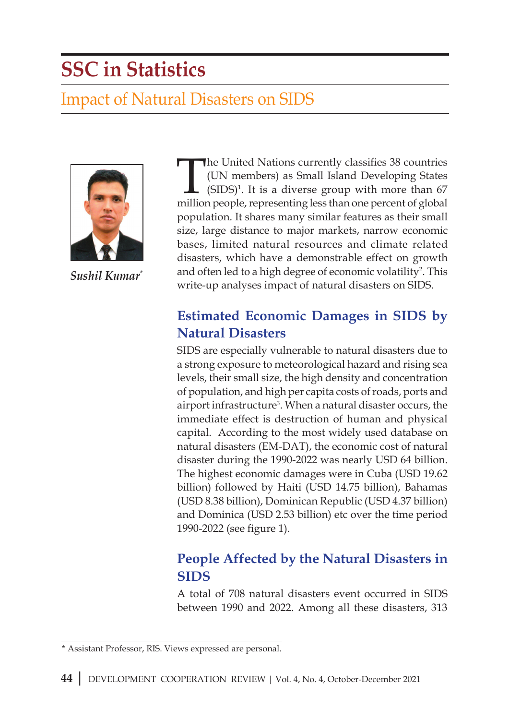# **SSC in Statistics**

# Impact of Natural Disasters on SIDS



*Sushil Kumar\**

The United Nations currently classifies 38 countries (UN members) as Small Island Developing States  $(SIDS)^1$ . It is a diverse group with more than 67 million people, representing less than one percent of global population. It shares many similar features as their small size, large distance to major markets, narrow economic bases, limited natural resources and climate related disasters, which have a demonstrable effect on growth and often led to a high degree of economic volatility<sup>2</sup>. This write-up analyses impact of natural disasters on SIDS.

# **Estimated Economic Damages in SIDS by Natural Disasters**

SIDS are especially vulnerable to natural disasters due to a strong exposure to meteorological hazard and rising sea levels, their small size, the high density and concentration of population, and high per capita costs of roads, ports and airport infrastructure<sup>3</sup>. When a natural disaster occurs, the immediate effect is destruction of human and physical capital. According to the most widely used database on natural disasters (EM-DAT), the economic cost of natural disaster during the 1990-2022 was nearly USD 64 billion. The highest economic damages were in Cuba (USD 19.62 billion) followed by Haiti (USD 14.75 billion), Bahamas (USD 8.38 billion), Dominican Republic (USD 4.37 billion) and Dominica (USD 2.53 billion) etc over the time period 1990-2022 (see figure 1).

# **People Affected by the Natural Disasters in SIDS**

A total of 708 natural disasters event occurred in SIDS between 1990 and 2022. Among all these disasters, 313

<sup>\*</sup> Assistant Professor, RIS. Views expressed are personal.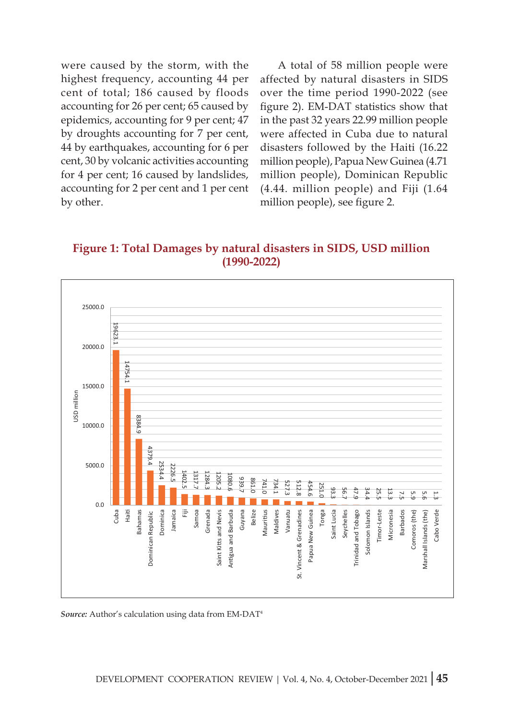were caused by the storm, with the highest frequency, accounting 44 per cent of total; 186 caused by floods accounting for 26 per cent; 65 caused by epidemics, accounting for 9 per cent; 47 by droughts accounting for 7 per cent, 44 by earthquakes, accounting for 6 per cent, 30 by volcanic activities accounting for 4 per cent; 16 caused by landslides, accounting for 2 per cent and 1 per cent by other.

A total of 58 million people were affected by natural disasters in SIDS over the time period 1990-2022 (see figure 2). EM-DAT statistics show that in the past 32 years 22.99 million people were affected in Cuba due to natural disasters followed by the Haiti (16.22 million people), Papua New Guinea (4.71 million people), Dominican Republic (4.44. million people) and Fiji (1.64 million people), see figure 2.

**Figure 1: Total Damages by natural disasters in SIDS, USD million (1990-2022)**

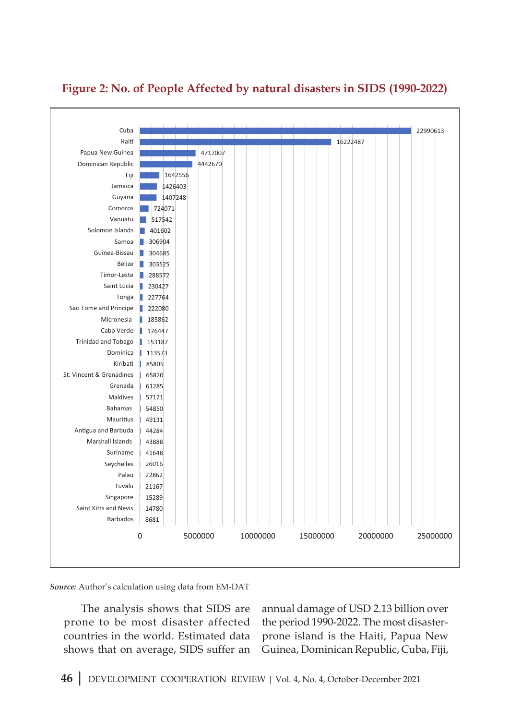

#### **Figure 2: No. of People Affected by natural disasters in SIDS (1990-2022)**

*Source:* Author's calculation using data from EM-DAT

The analysis shows that SIDS are prone to be most disaster affected countries in the world. Estimated data shows that on average, SIDS suffer an annual damage of USD 2.13 billion over the period 1990-2022. The most disasterprone island is the Haiti, Papua New Guinea, Dominican Republic, Cuba, Fiji,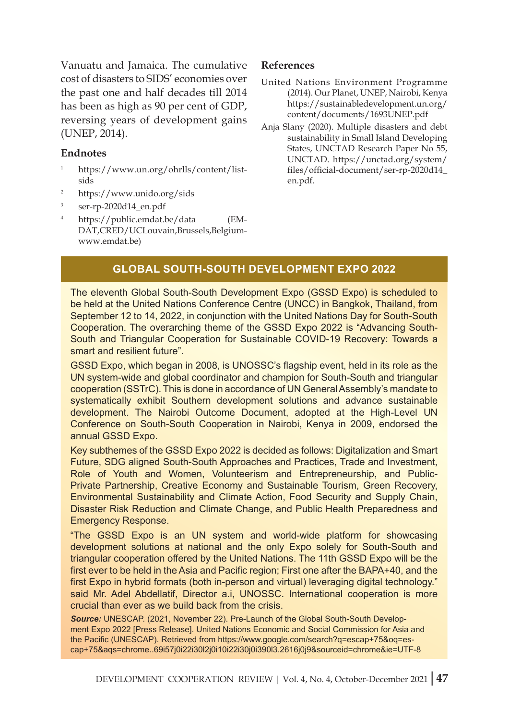Vanuatu and Jamaica. The cumulative cost of disasters to SIDS' economies over the past one and half decades till 2014 has been as high as 90 per cent of GDP, reversing years of development gains (UNEP, 2014).

#### **Endnotes**

- <sup>1</sup> https://www.un.org/ohrlls/content/listsids
- <sup>2</sup> https://www.unido.org/sids
- <sup>3</sup> ser-rp-2020d14\_en.pdf
- <sup>4</sup> https://public.emdat.be/data (EM-DAT,CRED/UCLouvain,Brussels,Belgiumwww.emdat.be)

#### **References**

- United Nations Environment Programme (2014). Our Planet, UNEP, Nairobi, Kenya https://sustainabledevelopment.un.org/ content/documents/1693UNEP.pdf
- Anja Slany (2020). Multiple disasters and debt sustainability in Small Island Developing States, UNCTAD Research Paper No 55, UNCTAD. https://unctad.org/system/ files/official-document/ser-rp-2020d14\_ en.pdf.

#### **Global South-South Development Expo 2022**

The eleventh Global South-South Development Expo (GSSD Expo) is scheduled to be held at the United Nations Conference Centre (UNCC) in Bangkok, Thailand, from September 12 to 14, 2022, in conjunction with the United Nations Day for South-South Cooperation. The overarching theme of the GSSD Expo 2022 is "Advancing South-South and Triangular Cooperation for Sustainable COVID-19 Recovery: Towards a smart and resilient future".

GSSD Expo, which began in 2008, is UNOSSC's flagship event, held in its role as the UN system-wide and global coordinator and champion for South-South and triangular cooperation (SSTrC). This is done in accordance of UN General Assembly's mandate to systematically exhibit Southern development solutions and advance sustainable development. The Nairobi Outcome Document, adopted at the High-Level UN Conference on South-South Cooperation in Nairobi, Kenya in 2009, endorsed the annual GSSD Expo.

Key subthemes of the GSSD Expo 2022 is decided as follows: Digitalization and Smart Future, SDG aligned South-South Approaches and Practices, Trade and Investment, Role of Youth and Women, Volunteerism and Entrepreneurship, and Public-Private Partnership, Creative Economy and Sustainable Tourism, Green Recovery, Environmental Sustainability and Climate Action, Food Security and Supply Chain, Disaster Risk Reduction and Climate Change, and Public Health Preparedness and Emergency Response.

"The GSSD Expo is an UN system and world-wide platform for showcasing development solutions at national and the only Expo solely for South-South and triangular cooperation offered by the United Nations. The 11th GSSD Expo will be the first ever to be held in the Asia and Pacific region; First one after the BAPA+40, and the first Expo in hybrid formats (both in-person and virtual) leveraging digital technology." said Mr. Adel Abdellatif, Director a.i, UNOSSC. International cooperation is more crucial than ever as we build back from the crisis.

*Source:* UNESCAP. (2021, November 22). Pre-Launch of the Global South-South Development Expo 2022 [Press Release]. United Nations Economic and Social Commission for Asia and the Pacific (UNESCAP). Retrieved from https://www.google.com/search?q=escap+75&oq=escap+75&aqs=chrome..69i57j0i22i30l2j0i10i22i30j0i390l3.2616j0j9&sourceid=chrome&ie=UTF-8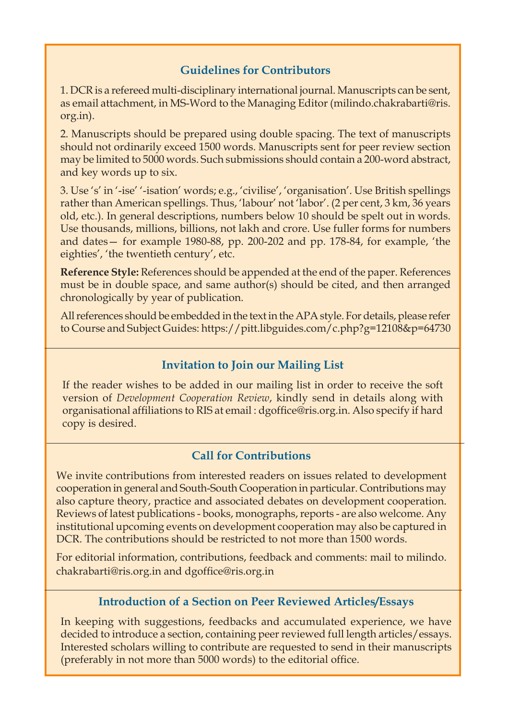#### **Guidelines for Contributors**

1. DCR is a refereed multi-disciplinary international journal. Manuscripts can be sent, as email attachment, in MS-Word to the Managing Editor (milindo.chakrabarti@ris. org.in).

2. Manuscripts should be prepared using double spacing. The text of manuscripts should not ordinarily exceed 1500 words. Manuscripts sent for peer review section may be limited to 5000 words. Such submissions should contain a 200-word abstract, and key words up to six.

3. Use 's' in '-ise' '-isation' words; e.g., 'civilise', 'organisation'. Use British spellings rather than American spellings. Thus, 'labour' not 'labor'. (2 per cent, 3 km, 36 years old, etc.). In general descriptions, numbers below 10 should be spelt out in words. Use thousands, millions, billions, not lakh and crore. Use fuller forms for numbers and dates— for example 1980-88, pp. 200-202 and pp. 178-84, for example, 'the eighties', 'the twentieth century', etc.

**Reference Style:** References should be appended at the end of the paper. References must be in double space, and same author(s) should be cited, and then arranged chronologically by year of publication.

All references should be embedded in the text in the APA style. For details, please refer to Course and Subject Guides: https://pitt.libguides.com/c.php?g=12108&p=64730

#### **Invitation to Join our Mailing List**

If the reader wishes to be added in our mailing list in order to receive the soft version of *Development Cooperation Review*, kindly send in details along with organisational affiliations to RIS at email : dgoffice@ris.org.in. Also specify if hard copy is desired.

#### **Call for Contributions**

We invite contributions from interested readers on issues related to development cooperation in general and South-South Cooperation in particular. Contributions may also capture theory, practice and associated debates on development cooperation. Reviews of latest publications - books, monographs, reports - are also welcome. Any institutional upcoming events on development cooperation may also be captured in DCR. The contributions should be restricted to not more than 1500 words.

For editorial information, contributions, feedback and comments: mail to milindo. chakrabarti@ris.org.in and dgoffice@ris.org.in

#### **Introduction of a Section on Peer Reviewed Articles/Essays**

In keeping with suggestions, feedbacks and accumulated experience, we have decided to introduce a section, containing peer reviewed full length articles/essays. Interested scholars willing to contribute are requested to send in their manuscripts (preferably in not more than 5000 words) to the editorial office.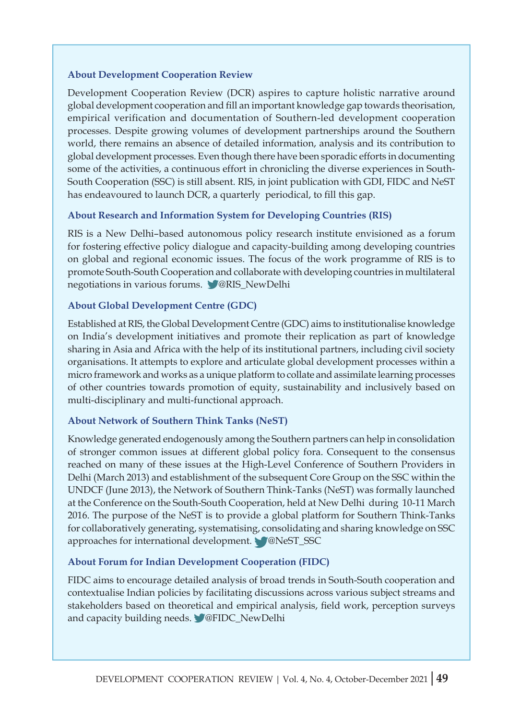#### **About Development Cooperation Review**

Development Cooperation Review (DCR) aspires to capture holistic narrative around global development cooperation and fill an important knowledge gap towards theorisation, empirical verification and documentation of Southern-led development cooperation processes. Despite growing volumes of development partnerships around the Southern world, there remains an absence of detailed information, analysis and its contribution to global development processes. Even though there have been sporadic efforts in documenting some of the activities, a continuous effort in chronicling the diverse experiences in South-South Cooperation (SSC) is still absent. RIS, in joint publication with GDI, FIDC and NeST has endeavoured to launch DCR, a quarterly periodical, to fill this gap.

#### **About Research and Information System for Developing Countries (RIS)**

RIS is a New Delhi–based autonomous policy research institute envisioned as a forum for fostering effective policy dialogue and capacity-building among developing countries on global and regional economic issues. The focus of the work programme of RIS is to promote South-South Cooperation and collaborate with developing countries in multilateral negotiations in various forums. @RIS\_NewDelhi

#### **About Global Development Centre (GDC)**

Established at RIS, the Global Development Centre (GDC) aims to institutionalise knowledge on India's development initiatives and promote their replication as part of knowledge sharing in Asia and Africa with the help of its institutional partners, including civil society organisations. It attempts to explore and articulate global development processes within a micro framework and works as a unique platform to collate and assimilate learning processes of other countries towards promotion of equity, sustainability and inclusively based on multi-disciplinary and multi-functional approach.

#### **About Network of Southern Think Tanks (NeST)**

Knowledge generated endogenously among the Southern partners can help in consolidation of stronger common issues at different global policy fora. Consequent to the consensus reached on many of these issues at the High-Level Conference of Southern Providers in Delhi (March 2013) and establishment of the subsequent Core Group on the SSC within the UNDCF (June 2013), the Network of Southern Think-Tanks (NeST) was formally launched at the Conference on the South-South Cooperation, held at New Delhi during 10-11 March 2016. The purpose of the NeST is to provide a global platform for Southern Think-Tanks for collaboratively generating, systematising, consolidating and sharing knowledge on SSC approaches for international development. @NeST\_SSC

#### **About Forum for Indian Development Cooperation (FIDC)**

FIDC aims to encourage detailed analysis of broad trends in South-South cooperation and contextualise Indian policies by facilitating discussions across various subject streams and stakeholders based on theoretical and empirical analysis, field work, perception surveys and capacity building needs. @FIDC\_NewDelhi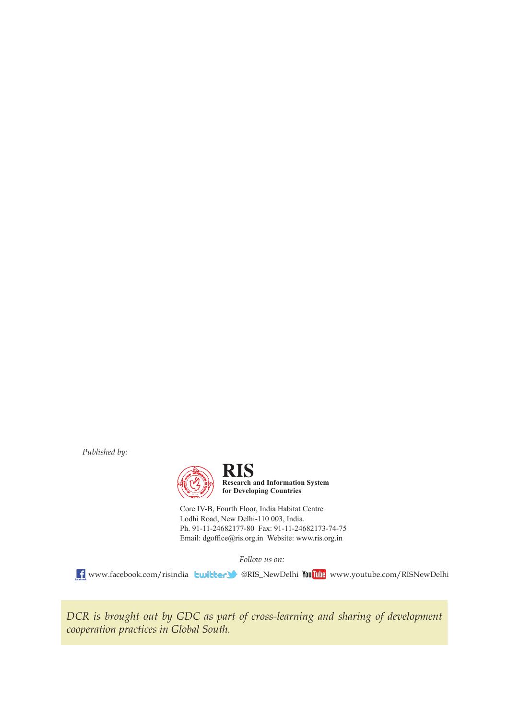*Published by:*



**Research and Information System for Developing Countries**

Core IV-B, Fourth Floor, India Habitat Centre Lodhi Road, New Delhi-110 003, India. Ph. 91-11-24682177-80 Fax: 91-11-24682173-74-75 Email: dgoffice@ris.org.in Website: www.ris.org.in

*Follow us on:*

**f** www.facebook.com/risindia **buitter @**RIS\_NewDelhi YouTube www.youtube.com/RISNewDelhi

*DCR is brought out by GDC as part of cross-learning and sharing of development cooperation practices in Global South.*